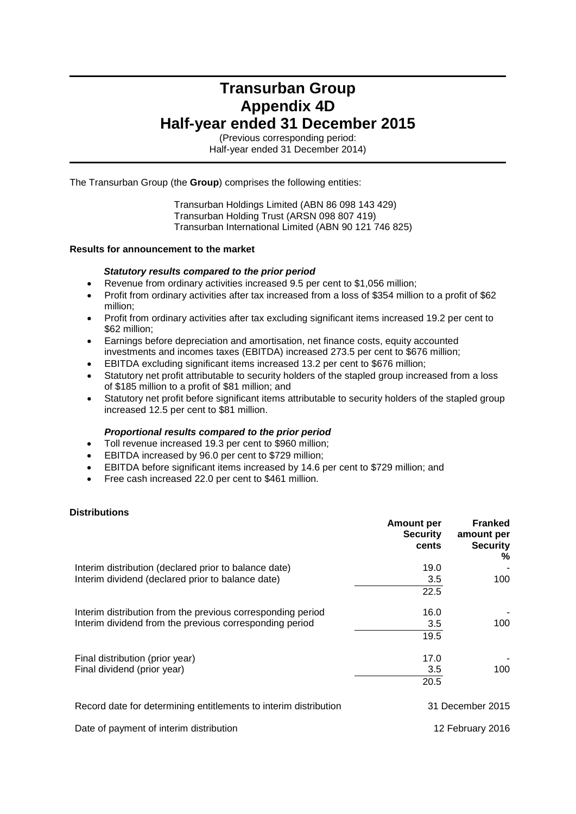# **Transurban Group Appendix 4D Half-year ended 31 December 2015**

(Previous corresponding period: Half-year ended 31 December 2014)

The Transurban Group (the **Group**) comprises the following entities:

Transurban Holdings Limited (ABN 86 098 143 429) Transurban Holding Trust (ARSN 098 807 419) Transurban International Limited (ABN 90 121 746 825)

#### **Results for announcement to the market**

#### *Statutory results compared to the prior period*

- Revenue from ordinary activities increased 9.5 per cent to \$1,056 million;
- Profit from ordinary activities after tax increased from a loss of \$354 million to a profit of \$62 million;
- Profit from ordinary activities after tax excluding significant items increased 19.2 per cent to \$62 million;
- Earnings before depreciation and amortisation, net finance costs, equity accounted investments and incomes taxes (EBITDA) increased 273.5 per cent to \$676 million;
- EBITDA excluding significant items increased 13.2 per cent to \$676 million;
- Statutory net profit attributable to security holders of the stapled group increased from a loss of \$185 million to a profit of \$81 million; and
- Statutory net profit before significant items attributable to security holders of the stapled group increased 12.5 per cent to \$81 million.

#### *Proportional results compared to the prior period*

- Toll revenue increased 19.3 per cent to \$960 million;
- EBITDA increased by 96.0 per cent to \$729 million;
- EBITDA before significant items increased by 14.6 per cent to \$729 million; and
- Free cash increased 22.0 per cent to \$461 million.

#### **Distributions**

|                                                                  | <b>Amount per</b><br><b>Security</b><br>cents | <b>Franked</b><br>amount per<br><b>Security</b><br>% |
|------------------------------------------------------------------|-----------------------------------------------|------------------------------------------------------|
| Interim distribution (declared prior to balance date)            | 19.0                                          |                                                      |
| Interim dividend (declared prior to balance date)                | 3.5                                           | 100                                                  |
|                                                                  | 22.5                                          |                                                      |
| Interim distribution from the previous corresponding period      | 16.0                                          |                                                      |
| Interim dividend from the previous corresponding period          | 3.5                                           | 100                                                  |
|                                                                  | 19.5                                          |                                                      |
| Final distribution (prior year)                                  | 17.0                                          |                                                      |
| Final dividend (prior year)                                      | 3.5                                           | 100                                                  |
|                                                                  | 20.5                                          |                                                      |
| Record date for determining entitlements to interim distribution |                                               | 31 December 2015                                     |

Date of payment of interim distribution

12 February 2016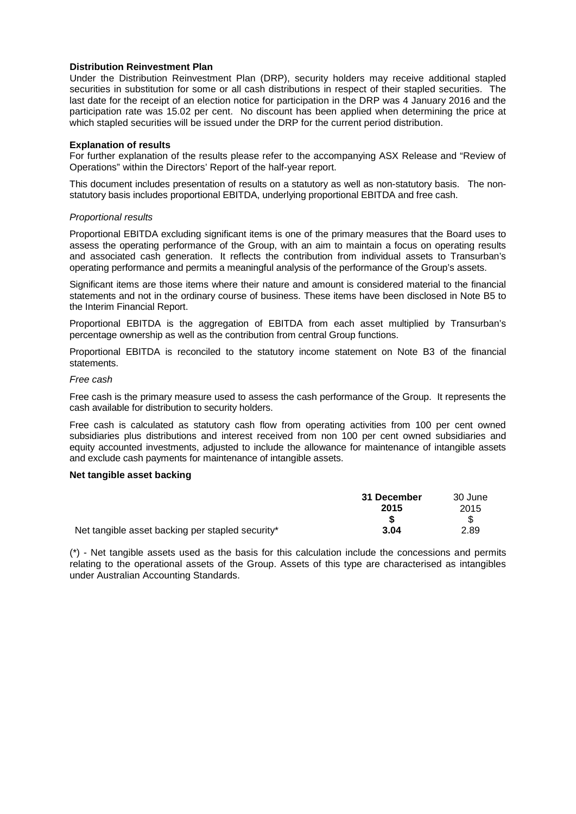#### **Distribution Reinvestment Plan**

Under the Distribution Reinvestment Plan (DRP), security holders may receive additional stapled securities in substitution for some or all cash distributions in respect of their stapled securities. The last date for the receipt of an election notice for participation in the DRP was 4 January 2016 and the participation rate was 15.02 per cent. No discount has been applied when determining the price at which stapled securities will be issued under the DRP for the current period distribution.

#### **Explanation of results**

For further explanation of the results please refer to the accompanying ASX Release and "Review of Operations" within the Directors' Report of the half-year report.

This document includes presentation of results on a statutory as well as non-statutory basis. The nonstatutory basis includes proportional EBITDA, underlying proportional EBITDA and free cash.

#### *Proportional results*

Proportional EBITDA excluding significant items is one of the primary measures that the Board uses to assess the operating performance of the Group, with an aim to maintain a focus on operating results and associated cash generation. It reflects the contribution from individual assets to Transurban's operating performance and permits a meaningful analysis of the performance of the Group's assets.

Significant items are those items where their nature and amount is considered material to the financial statements and not in the ordinary course of business. These items have been disclosed in Note B5 to the Interim Financial Report.

Proportional EBITDA is the aggregation of EBITDA from each asset multiplied by Transurban's percentage ownership as well as the contribution from central Group functions.

Proportional EBITDA is reconciled to the statutory income statement on Note B3 of the financial statements.

#### *Free cash*

Free cash is the primary measure used to assess the cash performance of the Group. It represents the cash available for distribution to security holders.

Free cash is calculated as statutory cash flow from operating activities from 100 per cent owned subsidiaries plus distributions and interest received from non 100 per cent owned subsidiaries and equity accounted investments, adjusted to include the allowance for maintenance of intangible assets and exclude cash payments for maintenance of intangible assets.

#### **Net tangible asset backing**

|                                                  | 31 December | 30 June |
|--------------------------------------------------|-------------|---------|
|                                                  | 2015        | 2015    |
|                                                  |             |         |
| Net tangible asset backing per stapled security* | 3.04        | 2.89    |

(\*) - Net tangible assets used as the basis for this calculation include the concessions and permits relating to the operational assets of the Group. Assets of this type are characterised as intangibles under Australian Accounting Standards.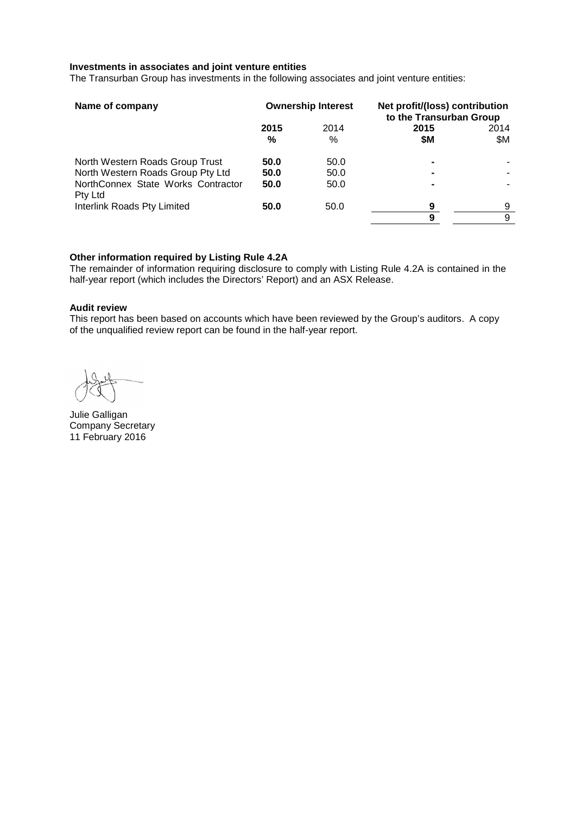#### **Investments in associates and joint venture entities**

The Transurban Group has investments in the following associates and joint venture entities:

| Name of company                               |           | <b>Ownership Interest</b> | Net profit/(loss) contribution<br>to the Transurban Group |             |
|-----------------------------------------------|-----------|---------------------------|-----------------------------------------------------------|-------------|
|                                               | 2015<br>% | 2014<br>%                 | 2015<br>\$M                                               | 2014<br>\$Μ |
| North Western Roads Group Trust               | 50.0      | 50.0                      |                                                           |             |
| North Western Roads Group Pty Ltd             | 50.0      | 50.0                      | $\blacksquare$                                            |             |
| NorthConnex State Works Contractor<br>Pty Ltd | 50.0      | 50.0                      | -                                                         |             |
| Interlink Roads Pty Limited                   | 50.0      | 50.0                      | 9                                                         | 9           |
|                                               |           |                           | 9                                                         | 9           |

#### **Other information required by Listing Rule 4.2A**

The remainder of information requiring disclosure to comply with Listing Rule 4.2A is contained in the half-year report (which includes the Directors' Report) and an ASX Release.

#### **Audit review**

This report has been based on accounts which have been reviewed by the Group's auditors. A copy of the unqualified review report can be found in the half-year report.

Julie Galligan Company Secretary 11 February 2016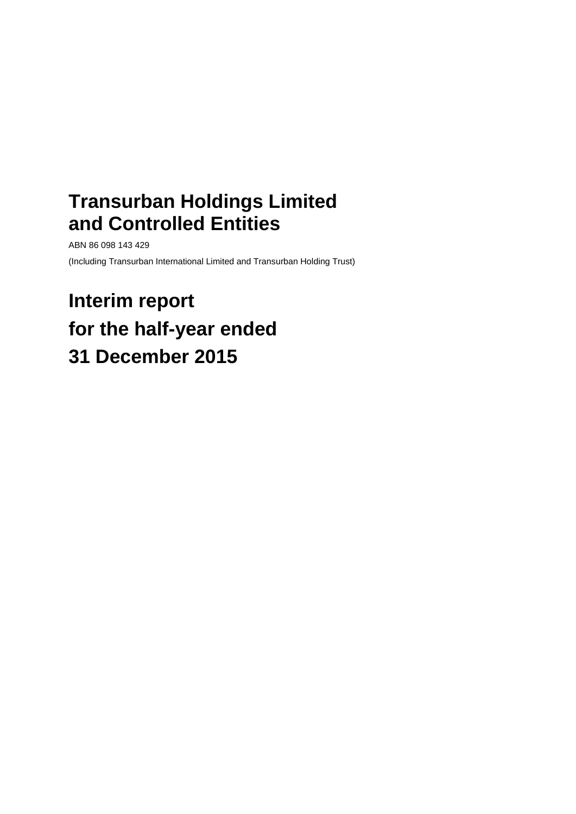# **Transurban Holdings Limited and Controlled Entities**

ABN 86 098 143 429

(Including Transurban International Limited and Transurban Holding Trust)

# **Interim report for the half-year ended 31 December 2015**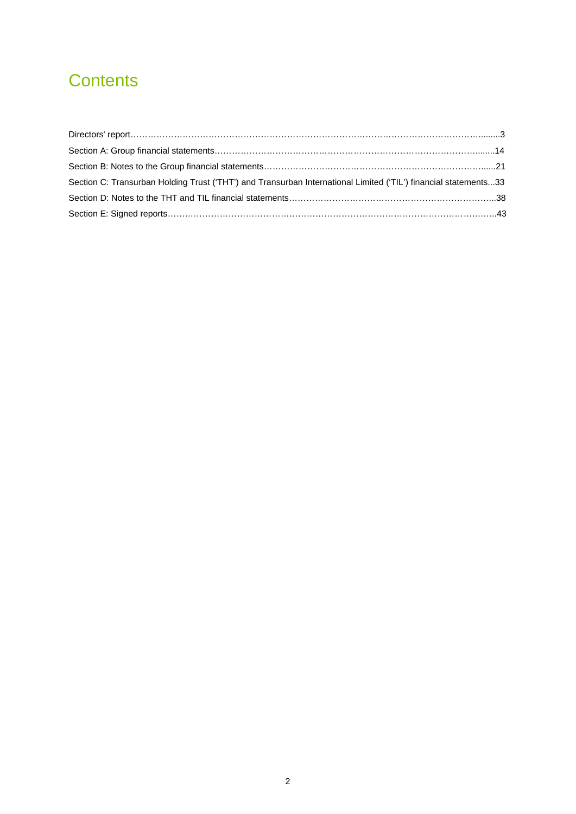# **Contents**

| Section C: Transurban Holding Trust ('THT') and Transurban International Limited ('TIL') financial statements33 |  |
|-----------------------------------------------------------------------------------------------------------------|--|
|                                                                                                                 |  |
|                                                                                                                 |  |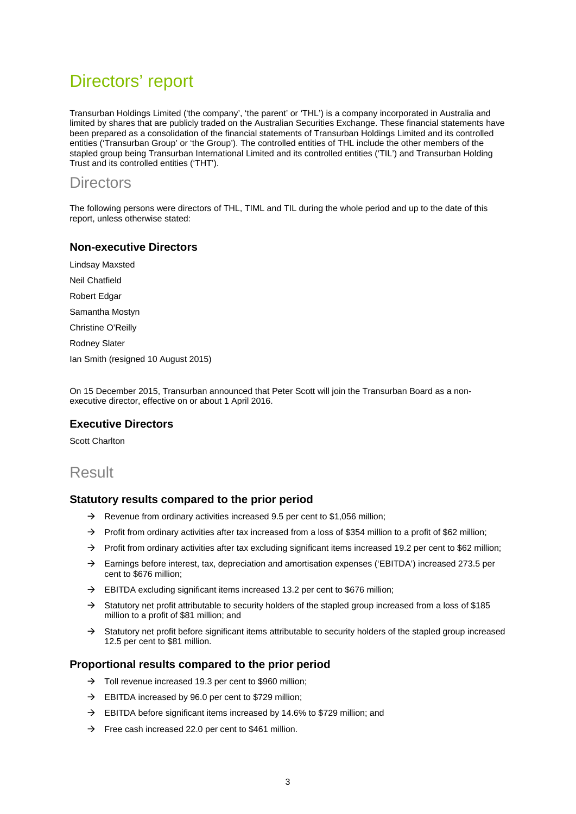# Directors' report

Transurban Holdings Limited ('the company', 'the parent' or 'THL') is a company incorporated in Australia and limited by shares that are publicly traded on the Australian Securities Exchange. These financial statements have been prepared as a consolidation of the financial statements of Transurban Holdings Limited and its controlled entities ('Transurban Group' or 'the Group'). The controlled entities of THL include the other members of the stapled group being Transurban International Limited and its controlled entities ('TIL') and Transurban Holding Trust and its controlled entities ('THT').

# **Directors**

The following persons were directors of THL, TIML and TIL during the whole period and up to the date of this report, unless otherwise stated:

### **Non-executive Directors**

Lindsay Maxsted

Neil Chatfield

Robert Edgar

Samantha Mostyn

Christine O'Reilly

Rodney Slater

Ian Smith (resigned 10 August 2015)

On 15 December 2015, Transurban announced that Peter Scott will join the Transurban Board as a nonexecutive director, effective on or about 1 April 2016.

#### **Executive Directors**

Scott Charlton

## Result

#### **Statutory results compared to the prior period**

- $\rightarrow$  Revenue from ordinary activities increased 9.5 per cent to \$1,056 million;
- $\rightarrow$  Profit from ordinary activities after tax increased from a loss of \$354 million to a profit of \$62 million;
- $\rightarrow$  Profit from ordinary activities after tax excluding significant items increased 19.2 per cent to \$62 million;
- $\rightarrow$  Earnings before interest, tax, depreciation and amortisation expenses ('EBITDA') increased 273.5 per cent to \$676 million;
- $\rightarrow$  EBITDA excluding significant items increased 13.2 per cent to \$676 million;
- $\rightarrow$  Statutory net profit attributable to security holders of the stapled group increased from a loss of \$185 million to a profit of \$81 million; and
- $\rightarrow$  Statutory net profit before significant items attributable to security holders of the stapled group increased 12.5 per cent to \$81 million.

#### **Proportional results compared to the prior period**

- $\rightarrow$  Toll revenue increased 19.3 per cent to \$960 million;
- $\rightarrow$  EBITDA increased by 96.0 per cent to \$729 million:
- $\rightarrow$  EBITDA before significant items increased by 14.6% to \$729 million; and
- $\rightarrow$  Free cash increased 22.0 per cent to \$461 million.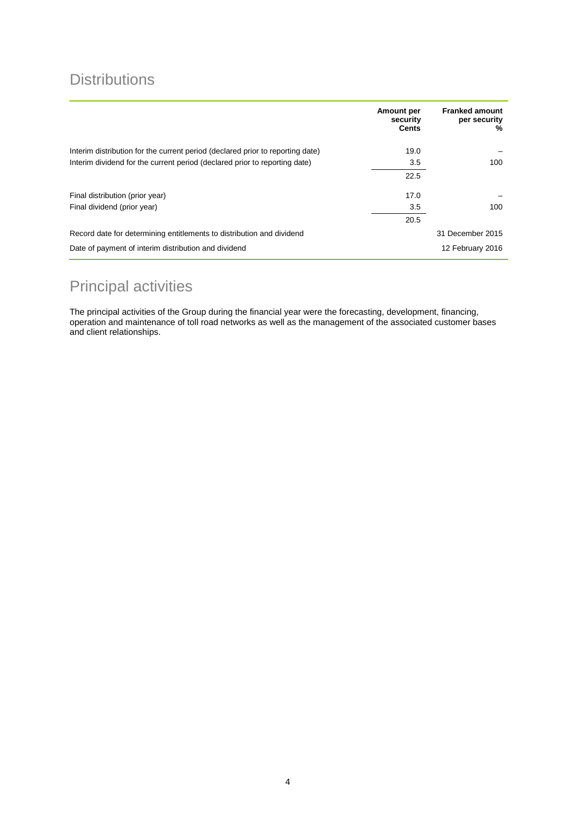# **Distributions**

|                                                                                | Amount per<br>security<br><b>Cents</b> | <b>Franked amount</b><br>per security<br>% |
|--------------------------------------------------------------------------------|----------------------------------------|--------------------------------------------|
| Interim distribution for the current period (declared prior to reporting date) | 19.0                                   |                                            |
| Interim dividend for the current period (declared prior to reporting date)     | 3.5                                    | 100                                        |
|                                                                                | 22.5                                   |                                            |
| Final distribution (prior year)                                                | 17.0                                   |                                            |
| Final dividend (prior year)                                                    | 3.5                                    | 100                                        |
|                                                                                | 20.5                                   |                                            |
| Record date for determining entitlements to distribution and dividend          |                                        | 31 December 2015                           |
| Date of payment of interim distribution and dividend                           |                                        | 12 February 2016                           |

# Principal activities

The principal activities of the Group during the financial year were the forecasting, development, financing, operation and maintenance of toll road networks as well as the management of the associated customer bases and client relationships.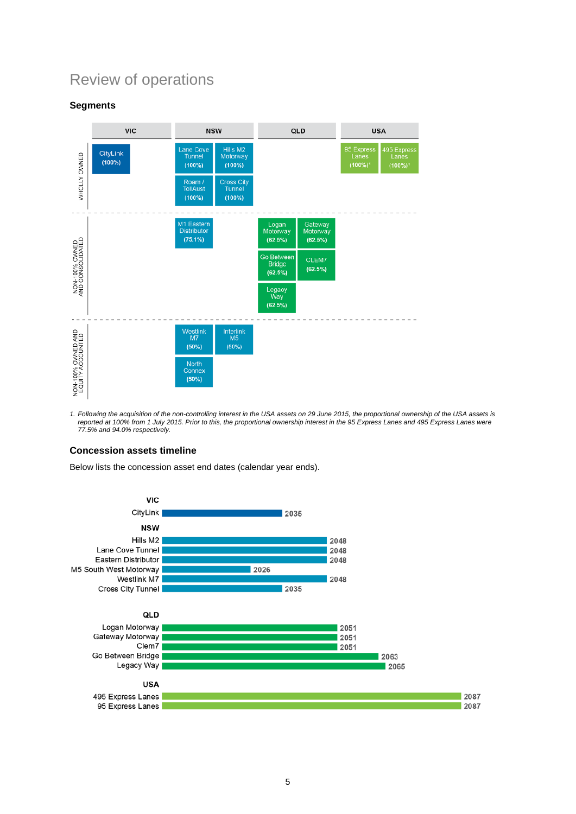# Review of operations

### **Segments**



1. Following the acquisition of the non-controlling interest in the USA assets on 29 June 2015, the proportional ownership of the USA assets is *reported at 100% from 1 July 2015. Prior to this, the proportional ownership interest in the 95 Express Lanes and 495 Express Lanes were 77.5% and 94.0% respectively.* 

#### **Concession assets timeline**

Below lists the concession asset end dates (calendar year ends).

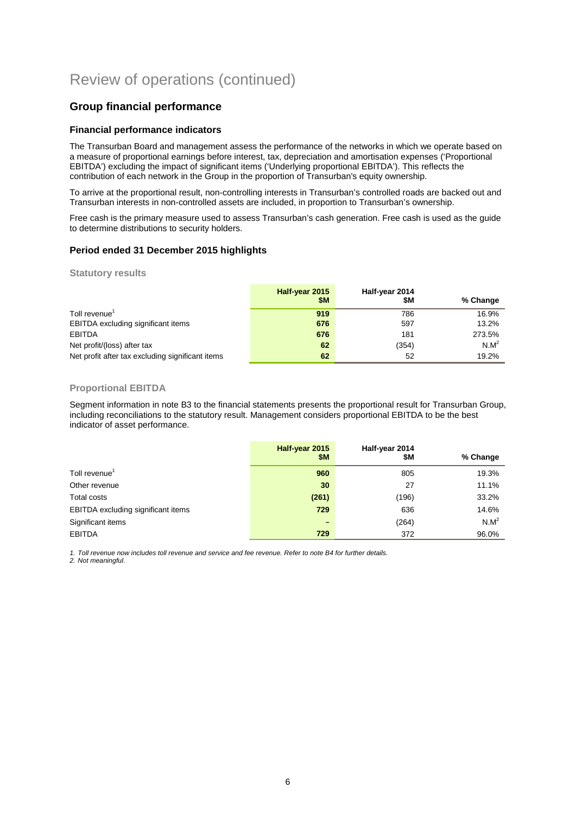### **Group financial performance**

#### **Financial performance indicators**

The Transurban Board and management assess the performance of the networks in which we operate based on a measure of proportional earnings before interest, tax, depreciation and amortisation expenses ('Proportional EBITDA') excluding the impact of significant items ('Underlying proportional EBITDA'). This reflects the contribution of each network in the Group in the proportion of Transurban's equity ownership.

To arrive at the proportional result, non-controlling interests in Transurban's controlled roads are backed out and Transurban interests in non-controlled assets are included, in proportion to Transurban's ownership.

Free cash is the primary measure used to assess Transurban's cash generation. Free cash is used as the guide to determine distributions to security holders.

#### **Period ended 31 December 2015 highlights**

**Statutory results**

|                                                  | Half-year 2015<br>\$M | Half-year 2014<br>\$M | % Change |
|--------------------------------------------------|-----------------------|-----------------------|----------|
| Toll revenue <sup>1</sup>                        | 919                   | 786                   | 16.9%    |
| <b>EBITDA</b> excluding significant items        | 676                   | 597                   | 13.2%    |
| <b>EBITDA</b>                                    | 676                   | 181                   | 273.5%   |
| Net profit/(loss) after tax                      | 62                    | (354)                 | $N.M^2$  |
| Net profit after tax excluding significant items | 62                    | 52                    | 19.2%    |

#### **Proportional EBITDA**

Segment information in note B3 to the financial statements presents the proportional result for Transurban Group, including reconciliations to the statutory result. Management considers proportional EBITDA to be the best indicator of asset performance.

|                                           | Half-year 2015<br><b>\$M</b> | Half-year 2014<br>\$Μ | % Change |
|-------------------------------------------|------------------------------|-----------------------|----------|
| Toll revenue <sup>1</sup>                 | 960                          | 805                   | 19.3%    |
| Other revenue                             | 30                           | 27                    | 11.1%    |
| Total costs                               | (261)                        | (196)                 | 33.2%    |
| <b>EBITDA</b> excluding significant items | 729                          | 636                   | 14.6%    |
| Significant items                         | -                            | (264)                 | $N.M^2$  |
| <b>EBITDA</b>                             | 729                          | 372                   | 96.0%    |

*1. Toll revenue now includes toll revenue and service and fee revenue. Refer to note B4 for further details.* 

*2. Not meaningful.*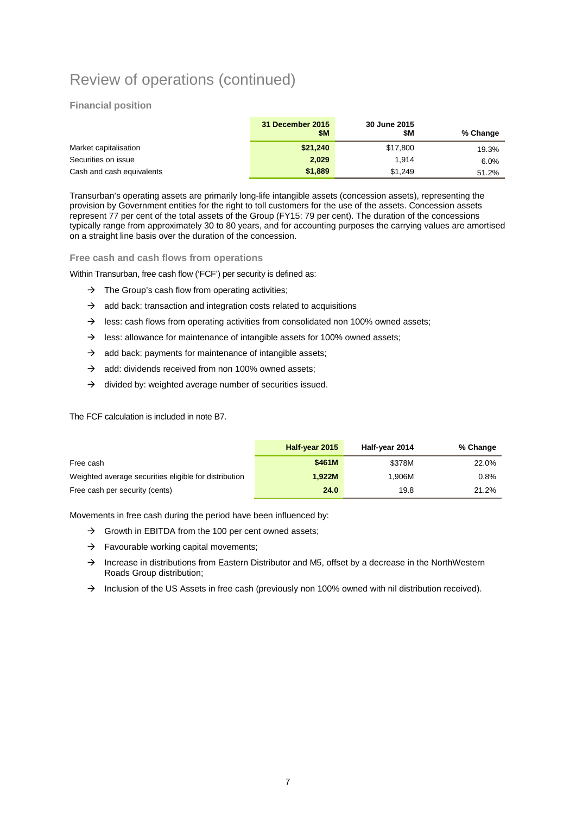#### **Financial position**

|                           | 31 December 2015<br>\$M | 30 June 2015<br>\$M | % Change |
|---------------------------|-------------------------|---------------------|----------|
| Market capitalisation     | \$21,240                | \$17,800            | 19.3%    |
| Securities on issue       | 2,029                   | 1.914               | 6.0%     |
| Cash and cash equivalents | \$1,889                 | \$1.249             | 51.2%    |

Transurban's operating assets are primarily long-life intangible assets (concession assets), representing the provision by Government entities for the right to toll customers for the use of the assets. Concession assets represent 77 per cent of the total assets of the Group (FY15: 79 per cent). The duration of the concessions typically range from approximately 30 to 80 years, and for accounting purposes the carrying values are amortised on a straight line basis over the duration of the concession.

**Free cash and cash flows from operations**

Within Transurban, free cash flow ('FCF') per security is defined as:

- $\rightarrow$  The Group's cash flow from operating activities;
- $\rightarrow$  add back: transaction and integration costs related to acquisitions
- $\rightarrow$  less: cash flows from operating activities from consolidated non 100% owned assets;
- $\rightarrow$  less: allowance for maintenance of intangible assets for 100% owned assets;
- $\rightarrow$  add back: payments for maintenance of intangible assets;
- $\rightarrow$  add: dividends received from non 100% owned assets:
- $\rightarrow$  divided by: weighted average number of securities issued.

The FCF calculation is included in note B7.

|                                                       | Half-year 2015 | Half-year 2014 | % Change |
|-------------------------------------------------------|----------------|----------------|----------|
| Free cash                                             | \$461M         | \$378M         | 22.0%    |
| Weighted average securities eligible for distribution | 1.922M         | 1.906M         | 0.8%     |
| Free cash per security (cents)                        | 24.0           | 19.8           | 21.2%    |

Movements in free cash during the period have been influenced by:

- $\rightarrow$  Growth in EBITDA from the 100 per cent owned assets;
- $\rightarrow$  Favourable working capital movements;
- $\rightarrow$  Increase in distributions from Eastern Distributor and M5, offset by a decrease in the NorthWestern Roads Group distribution;
- $\rightarrow$  Inclusion of the US Assets in free cash (previously non 100% owned with nil distribution received).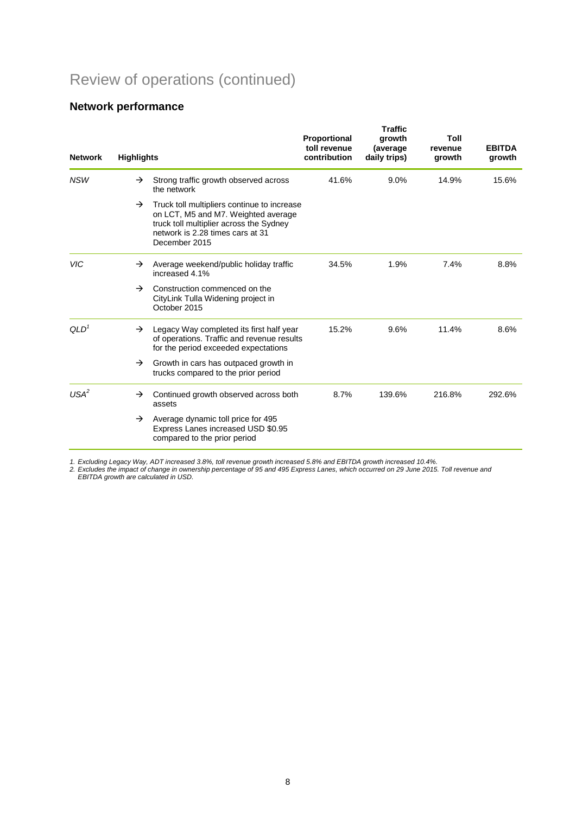# **Network performance**

| <b>Network</b>   | <b>Highlights</b> |                                                                                                                                                                                    | Proportional<br>toll revenue<br>contribution | <b>Traffic</b><br>growth<br>(average<br>daily trips) | Toll<br>revenue<br>growth | <b>EBITDA</b><br>growth |
|------------------|-------------------|------------------------------------------------------------------------------------------------------------------------------------------------------------------------------------|----------------------------------------------|------------------------------------------------------|---------------------------|-------------------------|
| <b>NSW</b>       | $\rightarrow$     | Strong traffic growth observed across<br>the network                                                                                                                               | 41.6%                                        | 9.0%                                                 | 14.9%                     | 15.6%                   |
|                  | $\rightarrow$     | Truck toll multipliers continue to increase<br>on LCT, M5 and M7. Weighted average<br>truck toll multiplier across the Sydney<br>network is 2.28 times cars at 31<br>December 2015 |                                              |                                                      |                           |                         |
| <b>VIC</b>       | $\rightarrow$     | Average weekend/public holiday traffic<br>increased 4.1%                                                                                                                           | 34.5%                                        | 1.9%                                                 | 7.4%                      | 8.8%                    |
|                  | $\rightarrow$     | Construction commenced on the<br>CityLink Tulla Widening project in<br>October 2015                                                                                                |                                              |                                                      |                           |                         |
| QLD <sup>1</sup> | $\rightarrow$     | Legacy Way completed its first half year<br>of operations. Traffic and revenue results<br>for the period exceeded expectations                                                     | 15.2%                                        | 9.6%                                                 | 11.4%                     | 8.6%                    |
|                  | $\rightarrow$     | Growth in cars has outpaced growth in<br>trucks compared to the prior period                                                                                                       |                                              |                                                      |                           |                         |
| USA <sup>2</sup> | $\rightarrow$     | Continued growth observed across both<br>assets                                                                                                                                    | 8.7%                                         | 139.6%                                               | 216.8%                    | 292.6%                  |
|                  | $\rightarrow$     | Average dynamic toll price for 495<br>Express Lanes increased USD \$0.95<br>compared to the prior period                                                                           |                                              |                                                      |                           |                         |

*1. Excluding Legacy Way, ADT increased 3.8%, toll revenue growth increased 5.8% and EBITDA growth increased 10.4%.* 

*2. Excludes the impact of change in ownership percentage of 95 and 495 Express Lanes, which occurred on 29 June 2015. Toll revenue and EBITDA growth are calculated in USD.*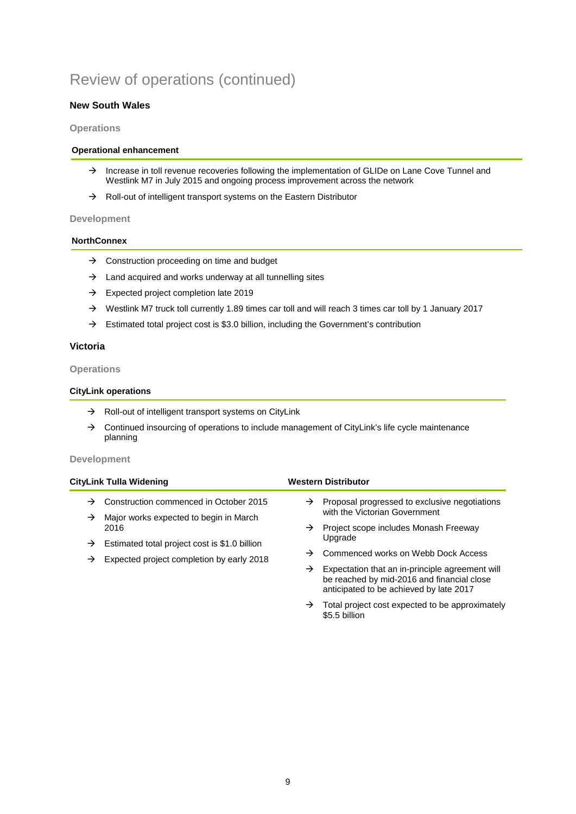#### **New South Wales**

#### **Operations**

#### **Operational enhancement**

- $\rightarrow$  Increase in toll revenue recoveries following the implementation of GLIDe on Lane Cove Tunnel and Westlink M7 in July 2015 and ongoing process improvement across the network
- $\rightarrow$  Roll-out of intelligent transport systems on the Eastern Distributor

#### **Development**

#### **NorthConnex**

- $\rightarrow$  Construction proceeding on time and budget
- $\rightarrow$  Land acquired and works underway at all tunnelling sites
- $\rightarrow$  Expected project completion late 2019
- → Westlink M7 truck toll currently 1.89 times car toll and will reach 3 times car toll by 1 January 2017
- $\rightarrow$  Estimated total project cost is \$3.0 billion, including the Government's contribution

#### **Victoria**

#### **Operations**

#### **CityLink operations**

- $\rightarrow$  Roll-out of intelligent transport systems on CityLink
- $\rightarrow$  Continued insourcing of operations to include management of CityLink's life cycle maintenance planning

#### **Development**

|   | CityLink Tulla Widening                                                                                             |               | <b>Western Distributor</b>                                                                                                               |
|---|---------------------------------------------------------------------------------------------------------------------|---------------|------------------------------------------------------------------------------------------------------------------------------------------|
| → | Construction commenced in October 2015                                                                              |               | $\rightarrow$ Proposal progressed to exclusive negotiations                                                                              |
| → | Major works expected to begin in March                                                                              |               | with the Victorian Government                                                                                                            |
|   | 2016<br>Estimated total project cost is \$1.0 billion<br>$\rightarrow$<br>Expected project completion by early 2018 | $\rightarrow$ | Project scope includes Monash Freeway<br>Upgrade                                                                                         |
|   |                                                                                                                     |               |                                                                                                                                          |
| → |                                                                                                                     | →             | Commenced works on Webb Dock Access                                                                                                      |
|   |                                                                                                                     | →             | Expectation that an in-principle agreement will<br>be reached by mid-2016 and financial close<br>anticipated to be achieved by late 2017 |

 $\rightarrow$  Total project cost expected to be approximately \$5.5 billion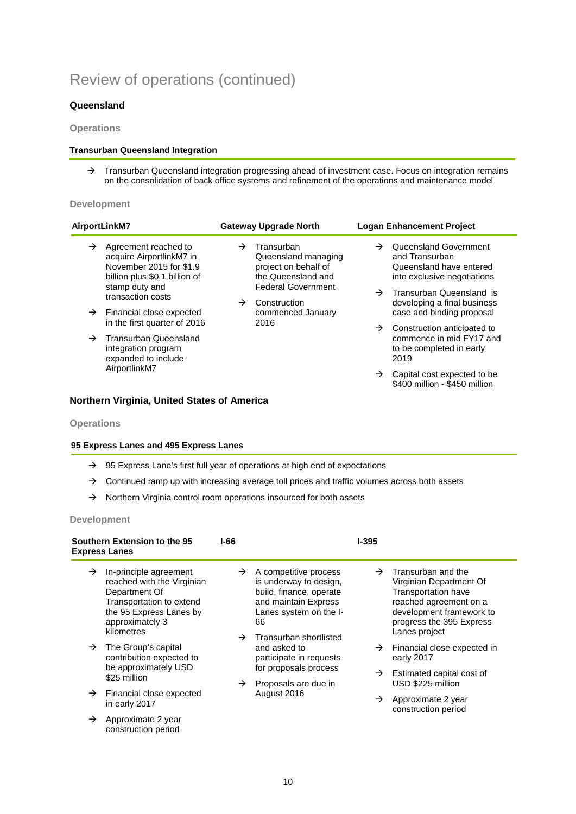#### **Queensland**

#### **Operations**

#### **Transurban Queensland Integration**

 $\rightarrow$  Transurban Queensland integration progressing ahead of investment case. Focus on integration remains on the consolidation of back office systems and refinement of the operations and maintenance model

#### **Development**

| AirportLinkM7                                                                                                                                                                                                                                                                                                              | <b>Gateway Upgrade North</b>                                                                                                                                                                | <b>Logan Enhancement Project</b>                                                                                                                                                                                                                                                                                                         |
|----------------------------------------------------------------------------------------------------------------------------------------------------------------------------------------------------------------------------------------------------------------------------------------------------------------------------|---------------------------------------------------------------------------------------------------------------------------------------------------------------------------------------------|------------------------------------------------------------------------------------------------------------------------------------------------------------------------------------------------------------------------------------------------------------------------------------------------------------------------------------------|
| →<br>Agreement reached to<br>acquire AirportlinkM7 in<br>November 2015 for \$1.9<br>billion plus \$0.1 billion of<br>stamp duty and<br>transaction costs<br>$\rightarrow$ Financial close expected<br>in the first quarter of 2016<br>Transurban Queensland<br>$\rightarrow$<br>integration program<br>expanded to include | Transurban<br>$\rightarrow$<br>Queensland managing<br>project on behalf of<br>the Queensland and<br><b>Federal Government</b><br>Construction<br>$\rightarrow$<br>commenced January<br>2016 | Queensland Government<br>$\rightarrow$<br>and Transurban<br>Queensland have entered<br>into exclusive negotiations<br>$\rightarrow$ Transurban Queensland is<br>developing a final business<br>case and binding proposal<br>Construction anticipated to<br>$\rightarrow$<br>commence in mid FY17 and<br>to be completed in early<br>2019 |
| AirportlinkM7                                                                                                                                                                                                                                                                                                              |                                                                                                                                                                                             | Capital cost expected to be<br>$\rightarrow$<br>\$400 million - \$450 million                                                                                                                                                                                                                                                            |

#### **Northern Virginia, United States of America**

#### **Operations**

#### **95 Express Lanes and 495 Express Lanes**

- $\rightarrow$  95 Express Lane's first full year of operations at high end of expectations
- $\rightarrow$  Continued ramp up with increasing average toll prices and traffic volumes across both assets
- $\rightarrow$  Northern Virginia control room operations insourced for both assets

#### **Development**

| Southern Extension to the 95<br><b>Express Lanes</b> |                                                                                                                                                               | I-66                           |                                                                                                                                    | <b>I-395</b>                              |                                                                                                                                                                                |                                                                        |
|------------------------------------------------------|---------------------------------------------------------------------------------------------------------------------------------------------------------------|--------------------------------|------------------------------------------------------------------------------------------------------------------------------------|-------------------------------------------|--------------------------------------------------------------------------------------------------------------------------------------------------------------------------------|------------------------------------------------------------------------|
| $\rightarrow$                                        | In-principle agreement<br>reached with the Virginian<br>Department Of<br>Transportation to extend<br>the 95 Express Lanes by<br>approximately 3<br>kilometres | $\rightarrow$<br>$\rightarrow$ | A competitive process<br>is underway to design,<br>build, finance, operate<br>and maintain Express<br>Lanes system on the I-<br>66 | $\rightarrow$                             | Transurban and the<br>Virginian Department Of<br><b>Transportation have</b><br>reached agreement on a<br>development framework to<br>progress the 395 Express<br>Lanes project |                                                                        |
| $\rightarrow$                                        | The Group's capital<br>contribution expected to<br>be approximately USD                                                                                       |                                | Transurban shortlisted<br>and asked to<br>participate in requests<br>for proposals process                                         |                                           | $\rightarrow$<br>→                                                                                                                                                             | Financial close expected in<br>early 2017<br>Estimated capital cost of |
|                                                      | \$25 million                                                                                                                                                  | $\rightarrow$                  | Proposals are due in                                                                                                               |                                           | USD \$225 million                                                                                                                                                              |                                                                        |
| $\rightarrow$                                        | Financial close expected<br>in early 2017                                                                                                                     | August 2016                    | →                                                                                                                                  | Approximate 2 year<br>construction period |                                                                                                                                                                                |                                                                        |
| →                                                    | Approximate 2 year<br>construction period                                                                                                                     |                                |                                                                                                                                    |                                           |                                                                                                                                                                                |                                                                        |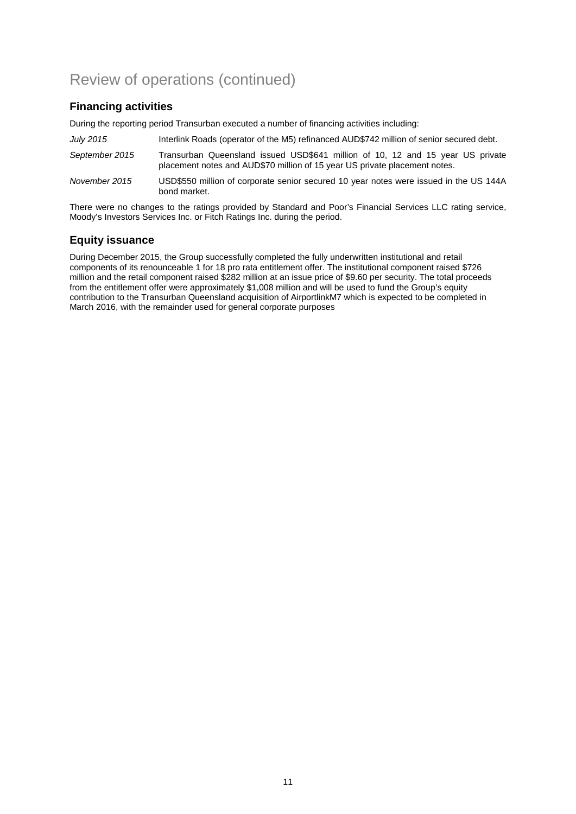## **Financing activities**

During the reporting period Transurban executed a number of financing activities including:

| July 2015      | Interlink Roads (operator of the M5) refinanced AUD\$742 million of senior secured debt.                                                                     |
|----------------|--------------------------------------------------------------------------------------------------------------------------------------------------------------|
| September 2015 | Transurban Queensland issued USD\$641 million of 10, 12 and 15 year US private<br>placement notes and AUD\$70 million of 15 year US private placement notes. |
| November 2015  | USD\$550 million of corporate senior secured 10 year notes were issued in the US 144A<br>bond market.                                                        |

There were no changes to the ratings provided by Standard and Poor's Financial Services LLC rating service, Moody's Investors Services Inc. or Fitch Ratings Inc. during the period.

## **Equity issuance**

During December 2015, the Group successfully completed the fully underwritten institutional and retail components of its renounceable 1 for 18 pro rata entitlement offer. The institutional component raised \$726 million and the retail component raised \$282 million at an issue price of \$9.60 per security. The total proceeds from the entitlement offer were approximately \$1,008 million and will be used to fund the Group's equity contribution to the Transurban Queensland acquisition of AirportlinkM7 which is expected to be completed in March 2016, with the remainder used for general corporate purposes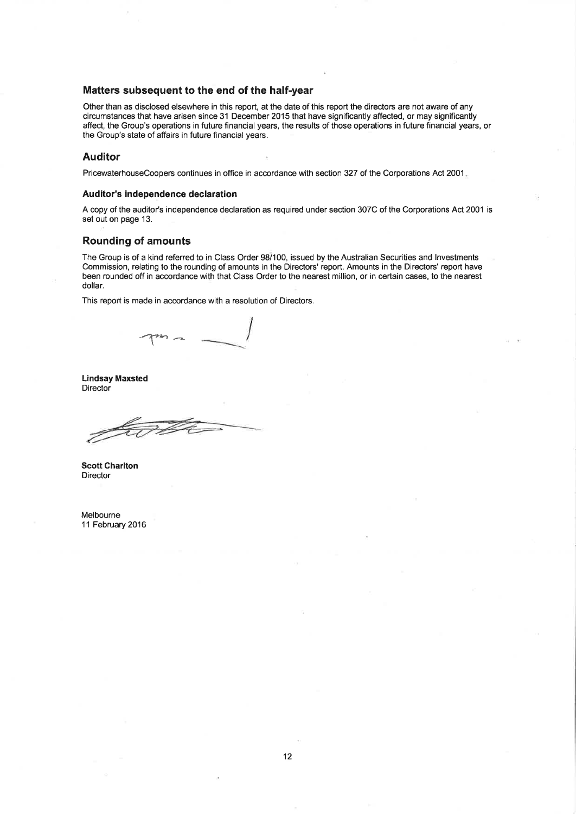#### Matters subsequent to the end of the half-year

Other than as disclosed elsewhere in this report, at the date of this report the directors are not aware of any circumstances that have arisen since 31 December 2015 that have significantly affected, or may significantly affect, the Group's operations in future financial years, the results of those operations in future financial years, or the Group's state of affairs in future financial years.

#### **Auditor**

PricewaterhouseCoopers continues in office in accordance with section 327 of the Corporations Act 2001.

#### Auditor's independence declaration

A copy of the auditor's independence declaration as required under section 307C of the Corporations Act 2001 is set out on page 13.

#### **Rounding of amounts**

The Group is of a kind referred to in Class Order 98/100, issued by the Australian Securities and Investments Commission, relating to the rounding of amounts in the Directors' report. Amounts in the Directors' report have been rounded off in accordance with that Class Order to the nearest million, or in certain cases, to the nearest dollar.

This report is made in accordance with a resolution of Directors.

**Lindsay Maxsted** Director

**Scott Charlton** Director

Melbourne 11 February 2016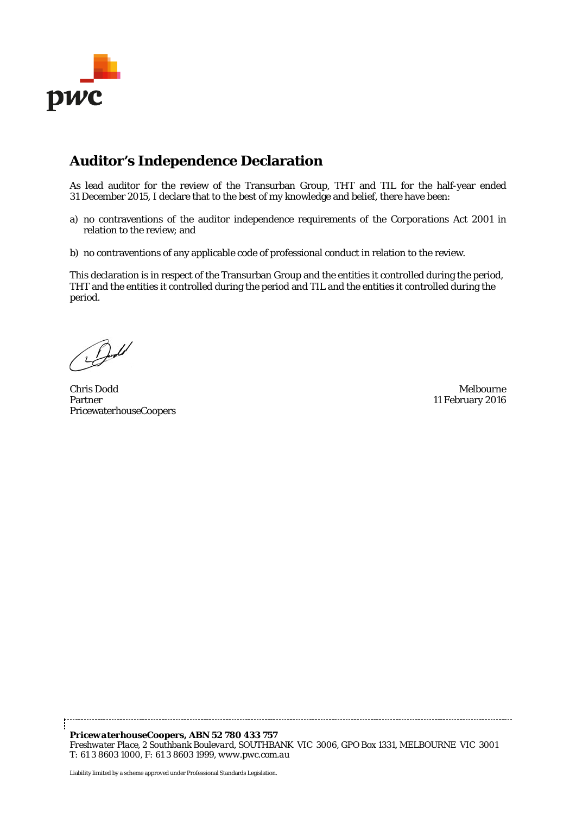

# **Auditor's Independence Declaration**

As lead auditor for the review of the Transurban Group, THT and TIL for the half-year ended 31 December 2015, I declare that to the best of my knowledge and belief, there have been:

- a) no contraventions of the auditor independence requirements of the *Corporations Act 2001* in relation to the review; and
- b) no contraventions of any applicable code of professional conduct in relation to the review.

This declaration is in respect of the Transurban Group and the entities it controlled during the period, THT and the entities it controlled during the period and TIL and the entities it controlled during the period.

Chris Dodd Melbourne Partner PricewaterhouseCoopers

11 February 2016

*PricewaterhouseCoopers, ABN 52 780 433 757 Freshwater Place, 2 Southbank Boulevard, SOUTHBANK VIC 3006, GPO Box 1331, MELBOURNE VIC 3001 T: 61 3 8603 1000, F: 61 3 8603 1999, www.pwc.com.au*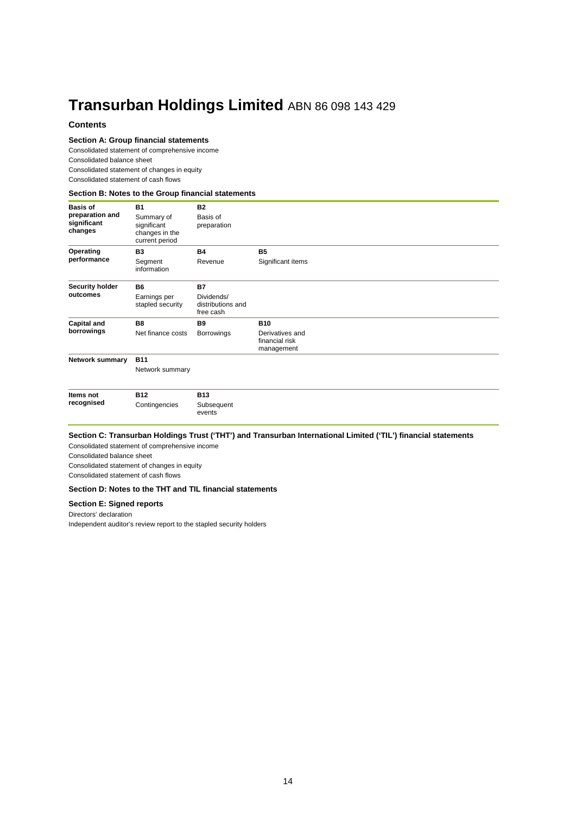# **Transurban Holdings Limited** ABN 86 098 143 429

#### **Contents**

#### **Section A: Group financial statements**

Consolidated statement of comprehensive income Consolidated balance sheet Consolidated statement of changes in equity Consolidated statement of cash flows

#### **Section B: Notes to the Group financial statements**

| <b>Basis of</b><br>preparation and<br>significant<br>changes | <b>B1</b><br>Summary of<br>significant<br>changes in the<br>current period | <b>B2</b><br>Basis of<br>preparation                      |                                                               |  |
|--------------------------------------------------------------|----------------------------------------------------------------------------|-----------------------------------------------------------|---------------------------------------------------------------|--|
| Operating<br>performance                                     | <b>B3</b><br>Segment<br>information                                        | <b>B4</b><br>Revenue                                      | <b>B5</b><br>Significant items                                |  |
| Security holder<br>outcomes                                  | <b>B6</b><br>Earnings per<br>stapled security                              | <b>B7</b><br>Dividends/<br>distributions and<br>free cash |                                                               |  |
| <b>Capital and</b><br>borrowings                             | <b>B8</b><br>Net finance costs                                             | <b>B9</b><br>Borrowings                                   | <b>B10</b><br>Derivatives and<br>financial risk<br>management |  |
| <b>Network summary</b>                                       | <b>B11</b><br>Network summary                                              |                                                           |                                                               |  |
| Items not<br>recognised                                      | <b>B12</b><br>Contingencies                                                | <b>B13</b><br>Subsequent<br>events                        |                                                               |  |

#### **Section C: Transurban Holdings Trust ('THT') and Transurban International Limited ('TIL') financial statements**

Consolidated statement of comprehensive income Consolidated balance sheet Consolidated statement of changes in equity

Consolidated statement of cash flows

#### **Section D: Notes to the THT and TIL financial statements**

#### **Section E: Signed reports**

Directors' declaration

Independent auditor's review report to the stapled security holders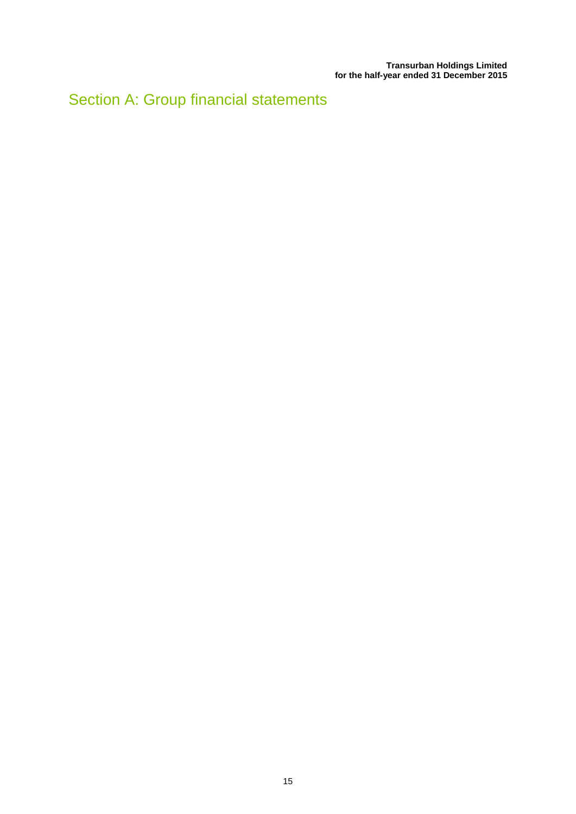Section A: Group financial statements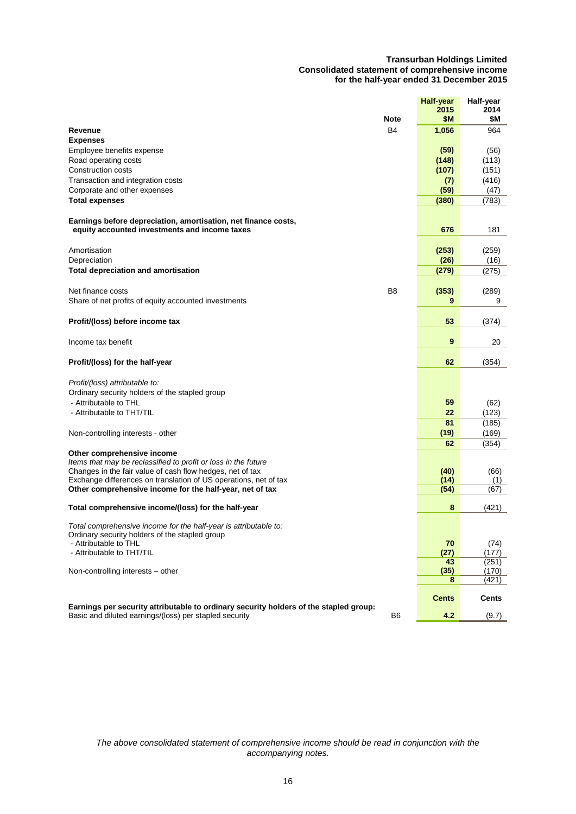#### **Transurban Holdings Limited Consolidated statement of comprehensive income for the half-year ended 31 December 2015**

|                                                                                       |                | <b>Half-year</b> | Half-year    |
|---------------------------------------------------------------------------------------|----------------|------------------|--------------|
|                                                                                       | <b>Note</b>    | 2015<br>\$Μ      | 2014<br>\$Μ  |
| Revenue                                                                               | <b>B4</b>      | 1,056            | 964          |
| <b>Expenses</b>                                                                       |                |                  |              |
| Employee benefits expense                                                             |                | (59)             | (56)         |
| Road operating costs                                                                  |                | (148)            | (113)        |
| Construction costs                                                                    |                | (107)            | (151)        |
| Transaction and integration costs                                                     |                | (7)              | (416)        |
| Corporate and other expenses                                                          |                | (59)             | (47)         |
| <b>Total expenses</b>                                                                 |                | (380)            | (783)        |
| Earnings before depreciation, amortisation, net finance costs,                        |                |                  |              |
| equity accounted investments and income taxes                                         |                | 676              | 181          |
| Amortisation                                                                          |                | (253)            | (259)        |
| Depreciation                                                                          |                | (26)             | (16)         |
| <b>Total depreciation and amortisation</b>                                            |                | (279)            | (275)        |
|                                                                                       |                |                  |              |
| Net finance costs                                                                     | B <sub>8</sub> | (353)            | (289)        |
| Share of net profits of equity accounted investments                                  |                | 9                | 9            |
| Profit/(loss) before income tax                                                       |                | 53               |              |
|                                                                                       |                |                  | (374)        |
| Income tax benefit                                                                    |                | 9                | 20           |
| Profit/(loss) for the half-year                                                       |                | 62               | (354)        |
| Profit/(loss) attributable to:                                                        |                |                  |              |
| Ordinary security holders of the stapled group                                        |                |                  |              |
| - Attributable to THL                                                                 |                | 59               | (62)         |
| - Attributable to THT/TIL                                                             |                | 22               | (123)        |
|                                                                                       |                | 81               | (185)        |
| Non-controlling interests - other                                                     |                | (19)             | (169)        |
|                                                                                       |                | 62               | (354)        |
| Other comprehensive income                                                            |                |                  |              |
| Items that may be reclassified to profit or loss in the future                        |                |                  |              |
| Changes in the fair value of cash flow hedges, net of tax                             |                | (40)             | (66)         |
| Exchange differences on translation of US operations, net of tax                      |                | (14)             | (1)          |
| Other comprehensive income for the half-year, net of tax                              |                | (54)             | (67)         |
| Total comprehensive income/(loss) for the half-year                                   |                | 8                | (421)        |
| Total comprehensive income for the half-year is attributable to:                      |                |                  |              |
| Ordinary security holders of the stapled group                                        |                |                  |              |
| - Attributable to THL                                                                 |                | 70               | (74)         |
| - Attributable to THT/TIL                                                             |                | (27)             | (177)        |
|                                                                                       |                | 43               | (251)        |
| Non-controlling interests - other                                                     |                | (35)             | (170)        |
|                                                                                       |                | 8                | (421)        |
| Earnings per security attributable to ordinary security holders of the stapled group: |                | <b>Cents</b>     | <b>Cents</b> |
| Basic and diluted earnings/(loss) per stapled security                                | B <sub>6</sub> | 4.2              | (9.7)        |

*The above consolidated statement of comprehensive income should be read in conjunction with the accompanying notes.*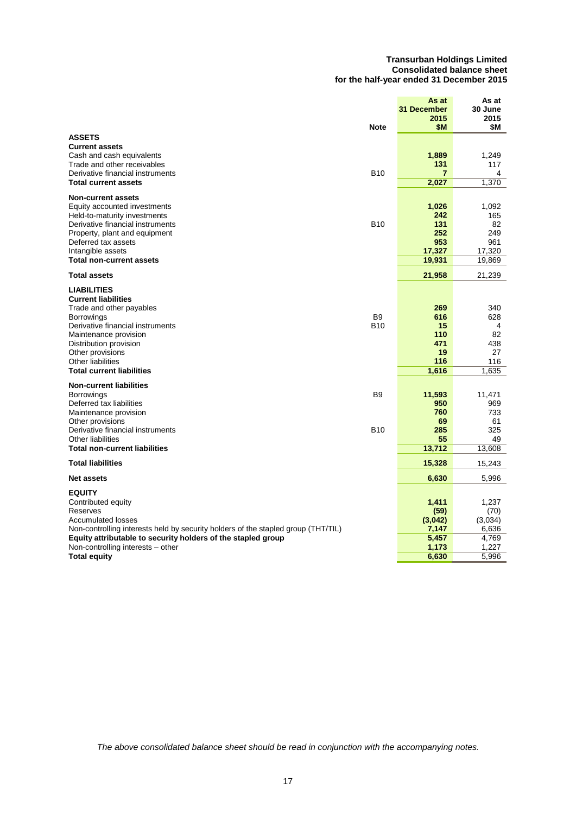#### **Transurban Holdings Limited Consolidated balance sheet for the half-year ended 31 December 2015**

|                                                                                                                | <b>Note</b>                  | As at<br>31 December<br>2015<br>\$M | As at<br>30 June<br>2015<br>\$М |
|----------------------------------------------------------------------------------------------------------------|------------------------------|-------------------------------------|---------------------------------|
| <b>ASSETS</b><br><b>Current assets</b>                                                                         |                              |                                     |                                 |
| Cash and cash equivalents<br>Trade and other receivables                                                       |                              | 1.889<br>131                        | 1,249<br>117                    |
| Derivative financial instruments<br><b>Total current assets</b>                                                | <b>B10</b>                   | 7                                   | 4<br>1,370                      |
|                                                                                                                |                              | 2,027                               |                                 |
| <b>Non-current assets</b><br>Equity accounted investments                                                      |                              | 1,026                               | 1.092                           |
| Held-to-maturity investments<br>Derivative financial instruments                                               | <b>B10</b>                   | 242<br>131                          | 165<br>82                       |
| Property, plant and equipment                                                                                  |                              | 252                                 | 249                             |
| Deferred tax assets<br>Intangible assets                                                                       |                              | 953<br>17,327                       | 961<br>17,320                   |
| <b>Total non-current assets</b>                                                                                |                              | 19,931                              | 19,869                          |
| <b>Total assets</b>                                                                                            |                              | 21,958                              | 21,239                          |
| <b>LIABILITIES</b><br><b>Current liabilities</b>                                                               |                              |                                     |                                 |
| Trade and other payables                                                                                       |                              | 269                                 | 340                             |
| <b>Borrowings</b><br>Derivative financial instruments                                                          | B <sub>9</sub><br><b>B10</b> | 616<br>15                           | 628<br>4                        |
| Maintenance provision                                                                                          |                              | 110                                 | 82                              |
| Distribution provision<br>Other provisions                                                                     |                              | 471<br>19                           | 438<br>27                       |
| Other liabilities<br><b>Total current liabilities</b>                                                          |                              | 116<br>1,616                        | 116<br>1,635                    |
| <b>Non-current liabilities</b>                                                                                 |                              |                                     |                                 |
| <b>Borrowings</b>                                                                                              | <b>B</b> 9                   | 11,593                              | 11,471                          |
| Deferred tax liabilities<br>Maintenance provision                                                              |                              | 950<br>760                          | 969<br>733                      |
| Other provisions<br>Derivative financial instruments                                                           | <b>B10</b>                   | 69<br>285                           | 61<br>325                       |
| Other liabilities                                                                                              |                              | 55                                  | 49                              |
| <b>Total non-current liabilities</b>                                                                           |                              | 13,712                              | 13,608                          |
| <b>Total liabilities</b>                                                                                       |                              | 15,328                              | 15,243                          |
| <b>Net assets</b>                                                                                              |                              | 6,630                               | 5,996                           |
| <b>EQUITY</b><br>Contributed equity                                                                            |                              | 1,411                               | 1,237                           |
| <b>Reserves</b>                                                                                                |                              | (59)                                | (70)                            |
| <b>Accumulated losses</b><br>Non-controlling interests held by security holders of the stapled group (THT/TIL) |                              | (3,042)<br>7,147                    | (3,034)<br>6,636                |
| Equity attributable to security holders of the stapled group                                                   |                              | 5,457                               | 4,769                           |
| Non-controlling interests - other<br><b>Total equity</b>                                                       |                              | 1,173<br>6,630                      | 1,227<br>5,996                  |
|                                                                                                                |                              |                                     |                                 |

*The above consolidated balance sheet should be read in conjunction with the accompanying notes.*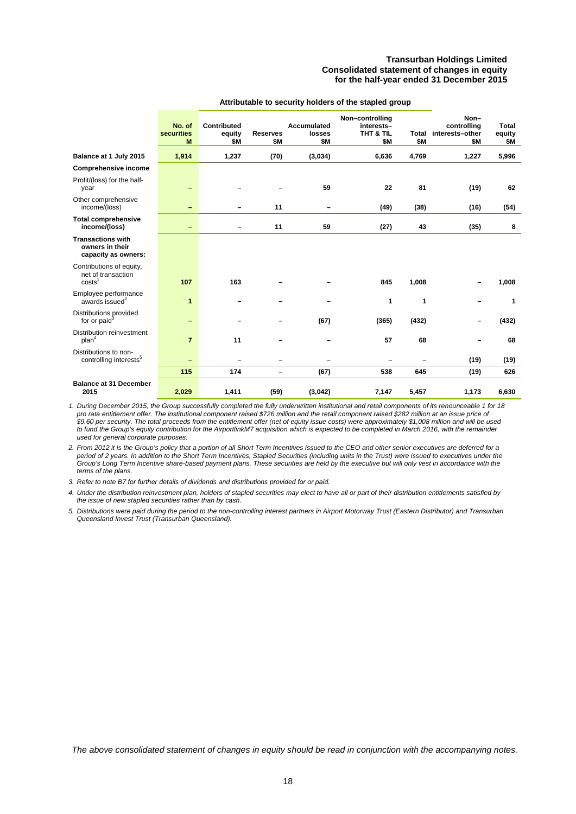#### **Transurban Holdings Limited Consolidated statement of changes in equity for the half-year ended 31 December 2015**

|                                                                      | No. of<br>securities<br>M | Contributed<br>equity<br>\$M | <b>Reserves</b><br>\$Μ   | <b>Accumulated</b><br>losses<br>\$M | Non-controlling<br>interests-<br>THT & TIL<br>\$Μ | <b>Total</b><br>\$M | Non-<br>controlling<br>interests-other<br>\$Μ | <b>Total</b><br>equity<br>\$М |
|----------------------------------------------------------------------|---------------------------|------------------------------|--------------------------|-------------------------------------|---------------------------------------------------|---------------------|-----------------------------------------------|-------------------------------|
| Balance at 1 July 2015                                               | 1,914                     | 1,237                        | (70)                     | (3,034)                             | 6,636                                             | 4,769               | 1,227                                         | 5,996                         |
| <b>Comprehensive income</b>                                          |                           |                              |                          |                                     |                                                   |                     |                                               |                               |
| Profit/(loss) for the half-<br>year                                  |                           |                              |                          | 59                                  | 22                                                | 81                  | (19)                                          | 62                            |
| Other comprehensive<br>income/(loss)                                 |                           |                              | 11                       |                                     | (49)                                              | (38)                | (16)                                          | (54)                          |
| <b>Total comprehensive</b><br>income/(loss)                          | -                         |                              | 11                       | 59                                  | (27)                                              | 43                  | (35)                                          | 8                             |
| <b>Transactions with</b><br>owners in their<br>capacity as owners:   |                           |                              |                          |                                     |                                                   |                     |                                               |                               |
| Contributions of equity,<br>net of transaction<br>costs <sup>1</sup> | 107                       | 163                          |                          |                                     | 845                                               | 1,008               |                                               | 1,008                         |
| Employee performance<br>awards issued <sup>2</sup>                   | $\mathbf{1}$              |                              |                          |                                     | 1                                                 | 1                   |                                               | 1                             |
| Distributions provided<br>for or paid <sup>3</sup>                   | -                         |                              |                          | (67)                                | (365)                                             | (432)               | -                                             | (432)                         |
| Distribution reinvestment<br>plan <sup>4</sup>                       | $\overline{7}$            | 11                           |                          |                                     | 57                                                | 68                  |                                               | 68                            |
| Distributions to non-<br>controlling interests <sup>5</sup>          |                           |                              |                          |                                     |                                                   |                     | (19)                                          | (19)                          |
|                                                                      | 115                       | 174                          | $\overline{\phantom{0}}$ | (67)                                | 538                                               | 645                 | (19)                                          | 626                           |
| <b>Balance at 31 December</b><br>2015                                | 2,029                     | 1,411                        | (59)                     | (3,042)                             | 7,147                                             | 5,457               | 1,173                                         | 6,630                         |

#### **Attributable to security holders of the stapled group**

*1. During December 2015, the Group successfully completed the fully underwritten institutional and retail components of its renounceable 1 for 18 pro rata entitlement offer. The institutional component raised \$726 million and the retail component raised \$282 million at an issue price of \$9.60 per security. The total proceeds from the entitlement offer (net of equity issue costs) were approximately \$1,008 million and will be used to fund the Group's equity contribution for the AirportlinkM7 acquisition which is expected to be completed in March 2016, with the remainder used for general corporate purposes.*

*2. From 2012 it is the Group's policy that a portion of all Short Term Incentives issued to the CEO and other senior executives are deferred for a*  period of 2 years. In addition to the Short Term Incentives, Stapled Securities (including units in the Trust) were issued to executives under the *Group's Long Term Incentive share-based payment plans. These securities are held by the executive but will only vest in accordance with the terms of the plans.*

*3. Refer to note B7 for further details of dividends and distributions provided for or paid.*

*4. Under the distribution reinvestment plan, holders of stapled securities may elect to have all or part of their distribution entitlements satisfied by the issue of new stapled securities rather than by cash.*

*5. Distributions were paid during the period to the non-controlling interest partners in Airport Motorway Trust (Eastern Distributor) and Transurban Queensland Invest Trust (Transurban Queensland).*

*The above consolidated statement of changes in equity should be read in conjunction with the accompanying notes.*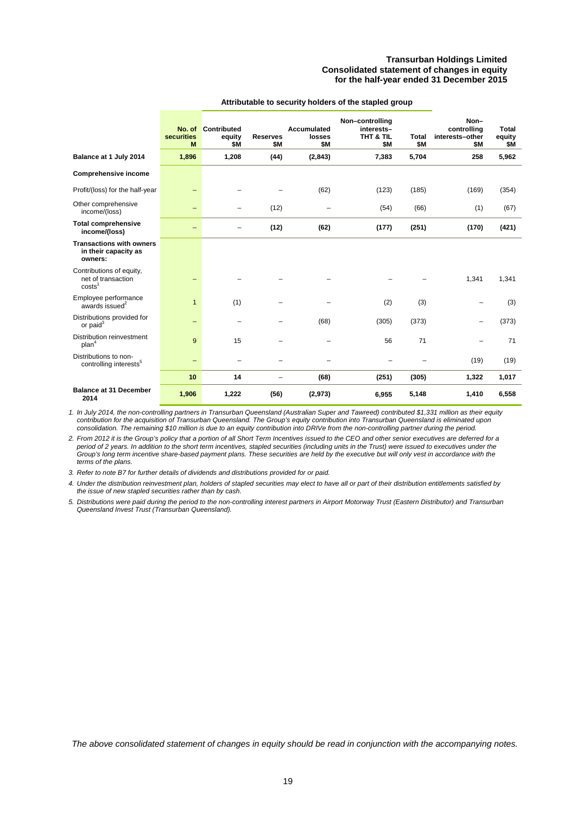#### **Transurban Holdings Limited Consolidated statement of changes in equity for the half-year ended 31 December 2015**

|                                                                      | No. of<br>securities<br>M | <b>Contributed</b><br>equity<br>\$Μ | <b>Reserves</b><br>\$Μ | <b>Accumulated</b><br>losses<br>\$Μ | Non-controlling<br>interests-<br>THT & TIL<br>\$M | <b>Total</b><br>\$Μ | Non-<br>controlling<br>interests-other<br>\$Μ | <b>Total</b><br>equity<br>\$М |
|----------------------------------------------------------------------|---------------------------|-------------------------------------|------------------------|-------------------------------------|---------------------------------------------------|---------------------|-----------------------------------------------|-------------------------------|
| Balance at 1 July 2014                                               | 1,896                     | 1,208                               | (44)                   | (2, 843)                            | 7,383                                             | 5,704               | 258                                           | 5,962                         |
| <b>Comprehensive income</b>                                          |                           |                                     |                        |                                     |                                                   |                     |                                               |                               |
| Profit/(loss) for the half-year                                      | -                         |                                     |                        | (62)                                | (123)                                             | (185)               | (169)                                         | (354)                         |
| Other comprehensive<br>income/(loss)                                 | -                         | -                                   | (12)                   |                                     | (54)                                              | (66)                | (1)                                           | (67)                          |
| <b>Total comprehensive</b><br>income/(loss)                          | $\overline{\phantom{0}}$  |                                     | (12)                   | (62)                                | (177)                                             | (251)               | (170)                                         | (421)                         |
| <b>Transactions with owners</b><br>in their capacity as<br>owners:   |                           |                                     |                        |                                     |                                                   |                     |                                               |                               |
| Contributions of equity,<br>net of transaction<br>costs <sup>1</sup> | -                         |                                     |                        |                                     |                                                   |                     | 1,341                                         | 1,341                         |
| Employee performance<br>awards issued <sup>2</sup>                   | $\mathbf{1}$              | (1)                                 |                        |                                     | (2)                                               | (3)                 | -                                             | (3)                           |
| Distributions provided for<br>or paid <sup>3</sup>                   | -                         |                                     |                        | (68)                                | (305)                                             | (373)               | -                                             | (373)                         |
| Distribution reinvestment<br>plan <sup>4</sup>                       | 9                         | 15                                  |                        |                                     | 56                                                | 71                  |                                               | 71                            |
| Distributions to non-<br>controlling interests <sup>5</sup>          | $\qquad \qquad -$         |                                     |                        |                                     |                                                   |                     | (19)                                          | (19)                          |
|                                                                      | 10                        | 14                                  |                        | (68)                                | (251)                                             | (305)               | 1,322                                         | 1,017                         |
| <b>Balance at 31 December</b><br>2014                                | 1,906                     | 1,222                               | (56)                   | (2,973)                             | 6,955                                             | 5,148               | 1,410                                         | 6,558                         |

#### **Attributable to security holders of the stapled group**

*1. In July 2014, the non-controlling partners in Transurban Queensland (Australian Super and Tawreed) contributed \$1,331 million as their equity contribution for the acquisition of Transurban Queensland. The Group's equity contribution into Transurban Queensland is eliminated upon consolidation. The remaining \$10 million is due to an equity contribution into DRIVe from the non-controlling partner during the period.*

*2. From 2012 it is the Group's policy that a portion of all Short Term Incentives issued to the CEO and other senior executives are deferred for a period of 2 years. In addition to the short term incentives, stapled securities (including units in the Trust) were issued to executives under the Group's long term incentive share-based payment plans. These securities are held by the executive but will only vest in accordance with the terms of the plans.*

*3. Refer to note B7 for further details of dividends and distributions provided for or paid.*

*4. Under the distribution reinvestment plan, holders of stapled securities may elect to have all or part of their distribution entitlements satisfied by the issue of new stapled securities rather than by cash.*

*5. Distributions were paid during the period to the non-controlling interest partners in Airport Motorway Trust (Eastern Distributor) and Transurban Queensland Invest Trust (Transurban Queensland).*

*The above consolidated statement of changes in equity should be read in conjunction with the accompanying notes.*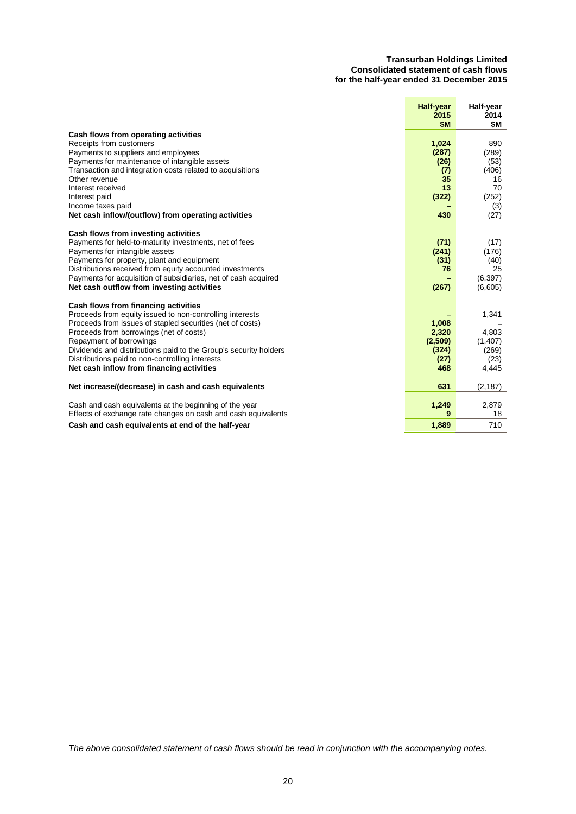#### **Transurban Holdings Limited Consolidated statement of cash flows for the half-year ended 31 December 2015**

|                                                                  | <b>Half-year</b><br>2015<br>\$M | Half-year<br>2014<br>\$M |
|------------------------------------------------------------------|---------------------------------|--------------------------|
| Cash flows from operating activities                             |                                 |                          |
| Receipts from customers                                          | 1,024                           | 890                      |
| Payments to suppliers and employees                              | (287)                           | (289)                    |
| Payments for maintenance of intangible assets                    | (26)                            | (53)                     |
| Transaction and integration costs related to acquisitions        | (7)                             | (406)                    |
| Other revenue                                                    | 35                              | 16                       |
| Interest received                                                | 13                              | 70                       |
| Interest paid                                                    | (322)                           | (252)                    |
| Income taxes paid                                                |                                 | (3)                      |
| Net cash inflow/(outflow) from operating activities              | 430                             | (27)                     |
| Cash flows from investing activities                             |                                 |                          |
| Payments for held-to-maturity investments, net of fees           | (71)                            | (17)                     |
| Payments for intangible assets                                   | (241)                           | (176)                    |
| Payments for property, plant and equipment                       | (31)                            | (40)                     |
| Distributions received from equity accounted investments         | 76                              | 25                       |
| Payments for acquisition of subsidiaries, net of cash acquired   |                                 | (6, 397)                 |
| Net cash outflow from investing activities                       | (267)                           | (6,605)                  |
|                                                                  |                                 |                          |
| Cash flows from financing activities                             |                                 |                          |
| Proceeds from equity issued to non-controlling interests         |                                 | 1,341                    |
| Proceeds from issues of stapled securities (net of costs)        | 1,008                           |                          |
| Proceeds from borrowings (net of costs)                          | 2,320                           | 4.803                    |
| Repayment of borrowings                                          | (2,509)                         | (1, 407)                 |
| Dividends and distributions paid to the Group's security holders | (324)                           | (269)                    |
| Distributions paid to non-controlling interests                  | (27)                            | (23)                     |
| Net cash inflow from financing activities                        | 468                             | 4,445                    |
|                                                                  |                                 |                          |
| Net increase/(decrease) in cash and cash equivalents             | 631                             | (2, 187)                 |
| Cash and cash equivalents at the beginning of the year           | 1,249                           | 2,879                    |
| Effects of exchange rate changes on cash and cash equivalents    | 9                               | 18                       |
| Cash and cash equivalents at end of the half-year                | 1,889                           | 710                      |

*The above consolidated statement of cash flows should be read in conjunction with the accompanying notes.*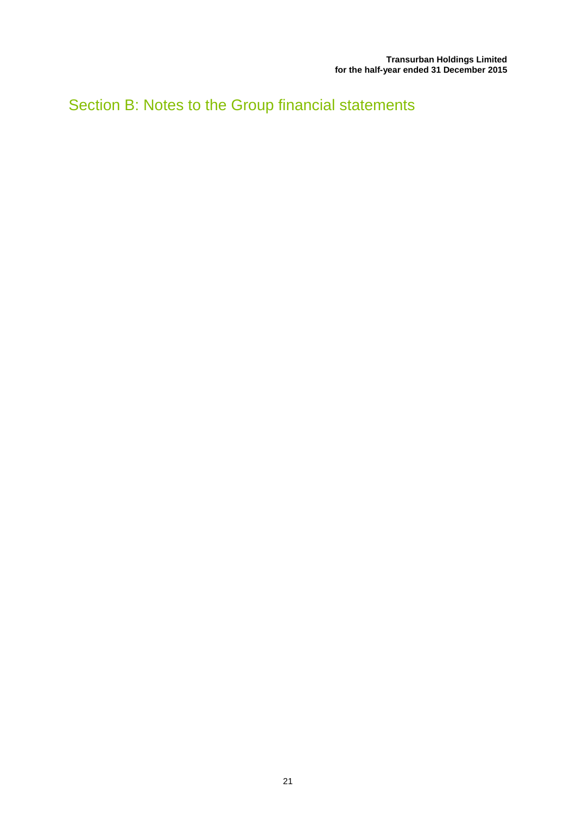Section B: Notes to the Group financial statements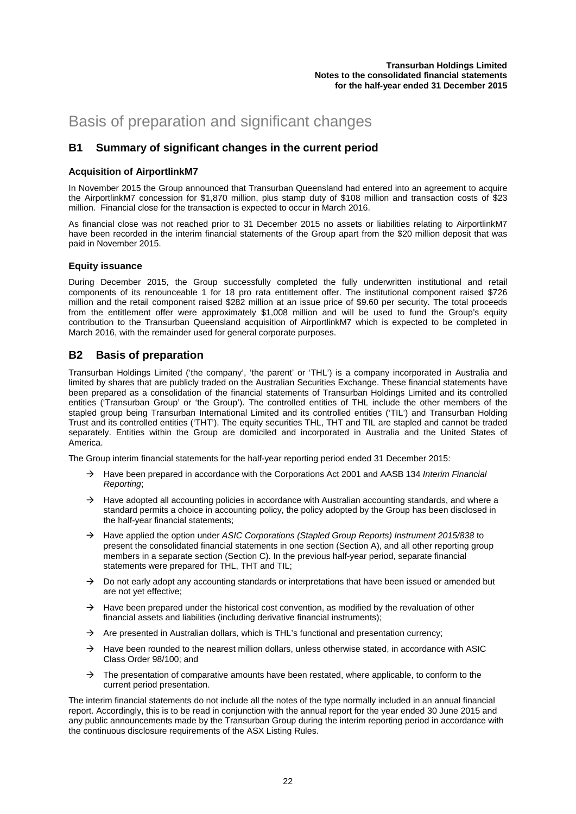# Basis of preparation and significant changes

### **B1 Summary of significant changes in the current period**

#### **Acquisition of AirportlinkM7**

In November 2015 the Group announced that Transurban Queensland had entered into an agreement to acquire the AirportlinkM7 concession for \$1,870 million, plus stamp duty of \$108 million and transaction costs of \$23 million. Financial close for the transaction is expected to occur in March 2016.

As financial close was not reached prior to 31 December 2015 no assets or liabilities relating to AirportlinkM7 have been recorded in the interim financial statements of the Group apart from the \$20 million deposit that was paid in November 2015.

#### **Equity issuance**

During December 2015, the Group successfully completed the fully underwritten institutional and retail components of its renounceable 1 for 18 pro rata entitlement offer. The institutional component raised \$726 million and the retail component raised \$282 million at an issue price of \$9.60 per security. The total proceeds from the entitlement offer were approximately \$1,008 million and will be used to fund the Group's equity contribution to the Transurban Queensland acquisition of AirportlinkM7 which is expected to be completed in March 2016, with the remainder used for general corporate purposes.

### **B2 Basis of preparation**

Transurban Holdings Limited ('the company', 'the parent' or 'THL') is a company incorporated in Australia and limited by shares that are publicly traded on the Australian Securities Exchange. These financial statements have been prepared as a consolidation of the financial statements of Transurban Holdings Limited and its controlled entities ('Transurban Group' or 'the Group'). The controlled entities of THL include the other members of the stapled group being Transurban International Limited and its controlled entities ('TIL') and Transurban Holding Trust and its controlled entities ('THT'). The equity securities THL, THT and TIL are stapled and cannot be traded separately. Entities within the Group are domiciled and incorporated in Australia and the United States of America.

The Group interim financial statements for the half-year reporting period ended 31 December 2015:

- Have been prepared in accordance with the Corporations Act 2001 and AASB 134 *Interim Financial Reporting*;
- $\rightarrow$  Have adopted all accounting policies in accordance with Australian accounting standards, and where a standard permits a choice in accounting policy, the policy adopted by the Group has been disclosed in the half-year financial statements;
- Have applied the option under *ASIC Corporations (Stapled Group Reports) Instrument 2015/838* to present the consolidated financial statements in one section (Section A), and all other reporting group members in a separate section (Section C). In the previous half-year period, separate financial statements were prepared for THL, THT and TIL;
- $\rightarrow$  Do not early adopt any accounting standards or interpretations that have been issued or amended but are not yet effective;
- $\rightarrow$  Have been prepared under the historical cost convention, as modified by the revaluation of other financial assets and liabilities (including derivative financial instruments);
- $\rightarrow$  Are presented in Australian dollars, which is THL's functional and presentation currency;
- $\rightarrow$  Have been rounded to the nearest million dollars, unless otherwise stated, in accordance with ASIC Class Order 98/100; and
- $\rightarrow$  The presentation of comparative amounts have been restated, where applicable, to conform to the current period presentation.

The interim financial statements do not include all the notes of the type normally included in an annual financial report. Accordingly, this is to be read in conjunction with the annual report for the year ended 30 June 2015 and any public announcements made by the Transurban Group during the interim reporting period in accordance with the continuous disclosure requirements of the ASX Listing Rules.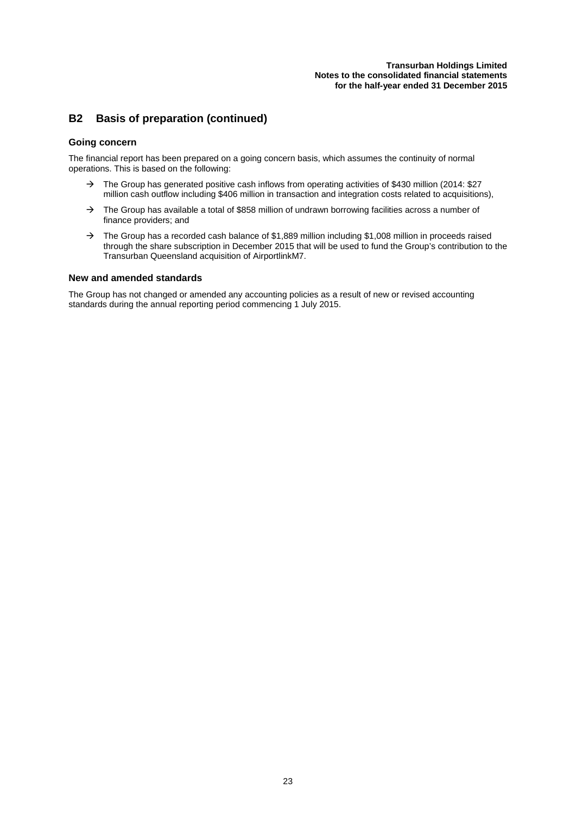#### **Transurban Holdings Limited Notes to the consolidated financial statements for the half-year ended 31 December 2015**

### **B2 Basis of preparation (continued)**

#### **Going concern**

The financial report has been prepared on a going concern basis, which assumes the continuity of normal operations. This is based on the following:

- $\rightarrow$  The Group has generated positive cash inflows from operating activities of \$430 million (2014: \$27 million cash outflow including \$406 million in transaction and integration costs related to acquisitions),
- $\rightarrow$  The Group has available a total of \$858 million of undrawn borrowing facilities across a number of finance providers; and
- $\rightarrow$  The Group has a recorded cash balance of \$1,889 million including \$1,008 million in proceeds raised through the share subscription in December 2015 that will be used to fund the Group's contribution to the Transurban Queensland acquisition of AirportlinkM7.

#### **New and amended standards**

The Group has not changed or amended any accounting policies as a result of new or revised accounting standards during the annual reporting period commencing 1 July 2015.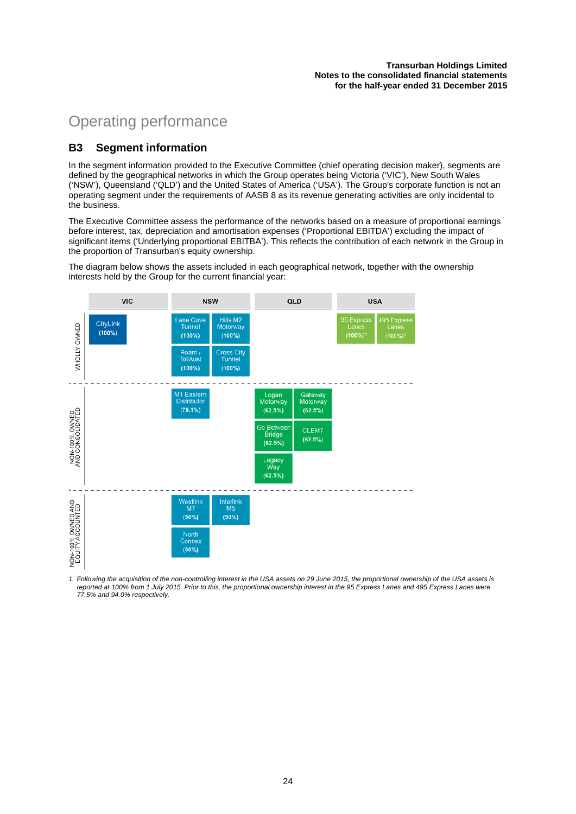# Operating performance

### **B3 Segment information**

In the segment information provided to the Executive Committee (chief operating decision maker), segments are defined by the geographical networks in which the Group operates being Victoria ('VIC'), New South Wales ('NSW'), Queensland ('QLD') and the United States of America ('USA'). The Group's corporate function is not an operating segment under the requirements of AASB 8 as its revenue generating activities are only incidental to the business.

The Executive Committee assess the performance of the networks based on a measure of proportional earnings before interest, tax, depreciation and amortisation expenses ('Proportional EBITDA') excluding the impact of significant items ('Underlying proportional EBITBA'). This reflects the contribution of each network in the Group in the proportion of Transurban's equity ownership.

The diagram below shows the assets included in each geographical network, together with the ownership interests held by the Group for the current financial year:



1. Following the acquisition of the non-controlling interest in the USA assets on 29 June 2015, the proportional ownership of the USA assets is *reported at 100% from 1 July 2015. Prior to this, the proportional ownership interest in the 95 Express Lanes and 495 Express Lanes were 77.5% and 94.0% respectively.*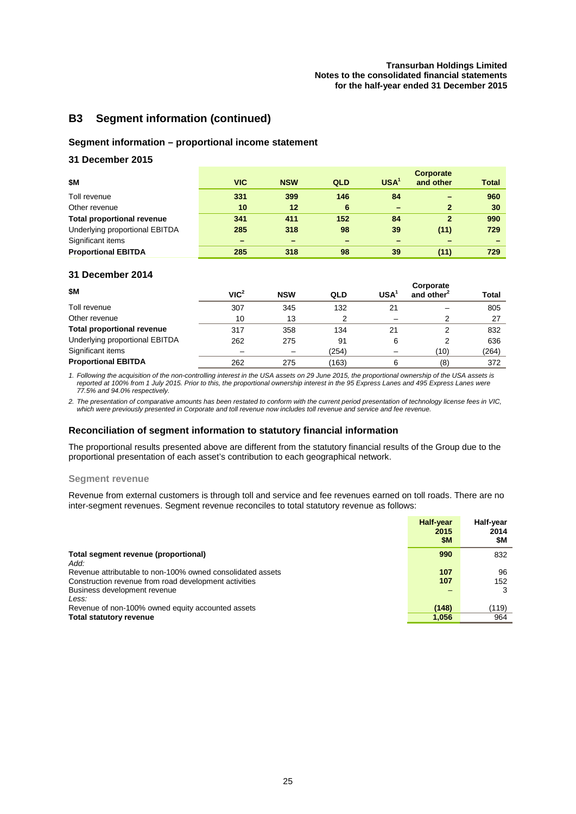### **B3 Segment information (continued)**

#### **Segment information – proportional income statement**

#### **31 December 2015**

| \$Μ                               | <b>VIC</b> | <b>NSW</b>               | QLD | USA <sup>1</sup>         | Corporate<br>and other | <b>Total</b> |
|-----------------------------------|------------|--------------------------|-----|--------------------------|------------------------|--------------|
| Toll revenue                      | 331        | 399                      | 146 | 84                       |                        | 960          |
| Other revenue                     | 10         | 12                       | 6   | $\overline{\phantom{0}}$ | 2                      | 30           |
| <b>Total proportional revenue</b> | 341        | 411                      | 152 | 84                       | $\overline{2}$         | 990          |
| Underlying proportional EBITDA    | 285        | 318                      | 98  | 39                       | (11)                   | 729          |
| Significant items                 |            | $\overline{\phantom{0}}$ |     | -                        |                        |              |
| <b>Proportional EBITDA</b>        | 285        | 318                      | 98  | 39                       | (11)                   | 729          |

#### **31 December 2014**

| \$M                               | VIC <sup>2</sup> | <b>NSW</b> | QLD   | <b>USA</b> | Corporate<br>and other <sup>2</sup> | Total |
|-----------------------------------|------------------|------------|-------|------------|-------------------------------------|-------|
| Toll revenue                      | 307              | 345        | 132   | 21         |                                     | 805   |
| Other revenue                     | 10               | 13         |       |            |                                     | 27    |
| <b>Total proportional revenue</b> | 317              | 358        | 134   | 21         |                                     | 832   |
| Underlying proportional EBITDA    | 262              | 275        | 91    | 6          |                                     | 636   |
| Significant items                 |                  |            | (254) |            | (10)                                | (264) |
| <b>Proportional EBITDA</b>        | 262              | 275        | (163) | 6          | (8)                                 | 372   |

*1. Following the acquisition of the non-controlling interest in the USA assets on 29 June 2015, the proportional ownership of the USA assets is reported at 100% from 1 July 2015. Prior to this, the proportional ownership interest in the 95 Express Lanes and 495 Express Lanes were 77.5% and 94.0% respectively.* 

*2. The presentation of comparative amounts has been restated to conform with the current period presentation of technology license fees in VIC, which were previously presented in Corporate and toll revenue now includes toll revenue and service and fee revenue.*

#### **Reconciliation of segment information to statutory financial information**

The proportional results presented above are different from the statutory financial results of the Group due to the proportional presentation of each asset's contribution to each geographical network.

#### **Segment revenue**

Revenue from external customers is through toll and service and fee revenues earned on toll roads. There are no inter-segment revenues. Segment revenue reconciles to total statutory revenue as follows:

|                                                                                                                     | <b>Half-year</b><br>2015<br>\$M | Half-year<br>2014<br>SM. |
|---------------------------------------------------------------------------------------------------------------------|---------------------------------|--------------------------|
| Total segment revenue (proportional)<br>Add:                                                                        | 990                             | 832                      |
| Revenue attributable to non-100% owned consolidated assets<br>Construction revenue from road development activities | 107<br>107                      | 96<br>152                |
| Business development revenue<br>Less:                                                                               |                                 | 3                        |
| Revenue of non-100% owned equity accounted assets                                                                   | (148)                           | (119)                    |
| Total statutory revenue                                                                                             | 1,056                           | 964                      |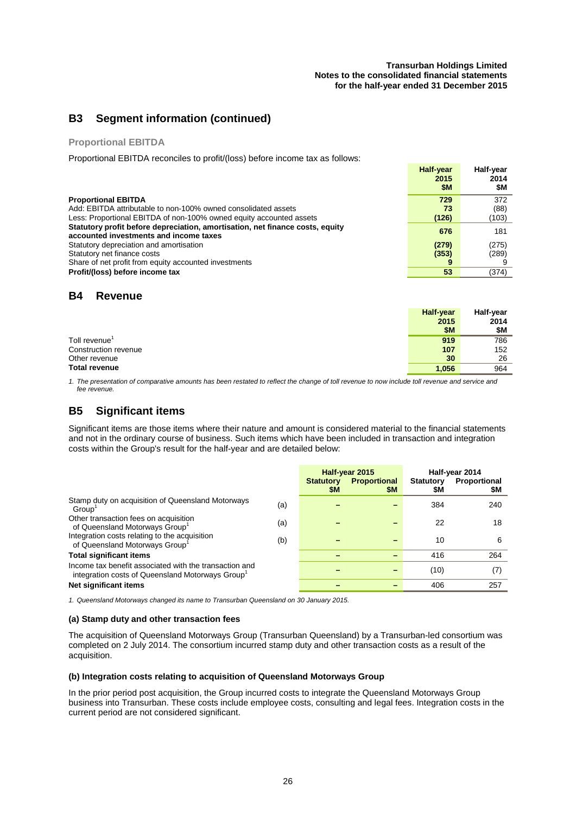#### **Transurban Holdings Limited Notes to the consolidated financial statements for the half-year ended 31 December 2015**

### **B3 Segment information (continued)**

#### **Proportional EBITDA**

Proportional EBITDA reconciles to profit/(loss) before income tax as follows:

|                                                                                                                         | Half-year<br>2015<br>\$M | <b>Half-vear</b><br>2014<br>\$M |
|-------------------------------------------------------------------------------------------------------------------------|--------------------------|---------------------------------|
| <b>Proportional EBITDA</b>                                                                                              | 729                      | 372                             |
| Add: EBITDA attributable to non-100% owned consolidated assets                                                          | 73                       | (88)                            |
| Less: Proportional EBITDA of non-100% owned equity accounted assets                                                     | (126)                    | (103)                           |
| Statutory profit before depreciation, amortisation, net finance costs, equity<br>accounted investments and income taxes | 676                      | 181                             |
| Statutory depreciation and amortisation                                                                                 | (279)                    | (275)                           |
| Statutory net finance costs                                                                                             | (353)                    | (289)                           |
| Share of net profit from equity accounted investments                                                                   | 9                        |                                 |
| Profit/(loss) before income tax                                                                                         | 53                       | (374)                           |

### **B4 Revenue**

|                      | <b>Half-year</b> | Half-year |
|----------------------|------------------|-----------|
|                      | 2015             | 2014      |
|                      | \$M              | \$M       |
| Toll revenue'        | 919              | 786       |
| Construction revenue | 107              | 152       |
| Other revenue        | 30               | 26        |
| <b>Total revenue</b> | 1,056            | 964       |

*1. The presentation of comparative amounts has been restated to reflect the change of toll revenue to now include toll revenue and service and fee revenue.*

## **B5 Significant items**

Significant items are those items where their nature and amount is considered material to the financial statements and not in the ordinary course of business. Such items which have been included in transaction and integration costs within the Group's result for the half-year and are detailed below:

|                                                                                                                        |     | <b>Statutory</b><br>\$M | Half-year 2015<br><b>Proportional</b><br><b>\$M</b> | <b>Statutory</b><br>\$M | Half-year 2014<br>Proportional<br>\$M |
|------------------------------------------------------------------------------------------------------------------------|-----|-------------------------|-----------------------------------------------------|-------------------------|---------------------------------------|
| Stamp duty on acquisition of Queensland Motorways<br>Group'                                                            | (a) |                         |                                                     | 384                     | 240                                   |
| Other transaction fees on acquisition<br>of Queensland Motorways Group <sup>1</sup>                                    | (a) |                         |                                                     | 22                      | 18                                    |
| Integration costs relating to the acquisition<br>of Queensland Motorways Group <sup>1</sup>                            | (b) |                         |                                                     | 10                      | 6                                     |
| <b>Total significant items</b>                                                                                         |     |                         |                                                     | 416                     | 264                                   |
| Income tax benefit associated with the transaction and<br>integration costs of Queensland Motorways Group <sup>1</sup> |     |                         |                                                     | (10)                    | (7)                                   |
| Net significant items                                                                                                  |     |                         |                                                     | 406                     | 257                                   |

*1. Queensland Motorways changed its name to Transurban Queensland on 30 January 2015.*

#### **(a) Stamp duty and other transaction fees**

The acquisition of Queensland Motorways Group (Transurban Queensland) by a Transurban-led consortium was completed on 2 July 2014. The consortium incurred stamp duty and other transaction costs as a result of the acquisition.

#### **(b) Integration costs relating to acquisition of Queensland Motorways Group**

In the prior period post acquisition, the Group incurred costs to integrate the Queensland Motorways Group business into Transurban. These costs include employee costs, consulting and legal fees. Integration costs in the current period are not considered significant.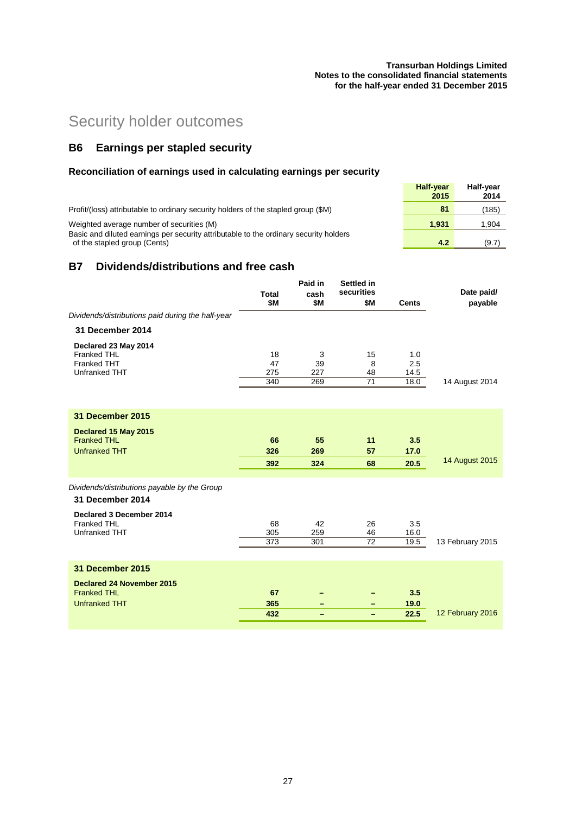#### **Transurban Holdings Limited Notes to the consolidated financial statements for the half-year ended 31 December 2015**

# Security holder outcomes

# **B6 Earnings per stapled security**

## **Reconciliation of earnings used in calculating earnings per security**

|                                                                                                                                    | <b>Half-vear</b><br>2015 | <b>Half-vear</b><br>2014 |
|------------------------------------------------------------------------------------------------------------------------------------|--------------------------|--------------------------|
| Profit/(loss) attributable to ordinary security holders of the stapled group (\$M)                                                 | 81                       | (185)                    |
| Weighted average number of securities (M)<br>Basic and diluted earnings per security attributable to the ordinary security holders | 1.931                    | 1,904                    |
| of the stapled group (Cents)                                                                                                       | 4.2                      | (9.7)                    |

### **B7 Dividends/distributions and free cash**

|                                                        | <b>Total</b><br>\$M | Paid in<br>cash<br>\$M | Settled in<br>securities<br>\$M | <b>Cents</b> | Date paid/<br>payable |
|--------------------------------------------------------|---------------------|------------------------|---------------------------------|--------------|-----------------------|
| Dividends/distributions paid during the half-year      |                     |                        |                                 |              |                       |
| 31 December 2014                                       |                     |                        |                                 |              |                       |
| Declared 23 May 2014                                   |                     |                        |                                 |              |                       |
| Franked THL                                            | 18                  | 3                      | 15                              | 1.0          |                       |
| <b>Franked THT</b>                                     | 47                  | 39                     | 8                               | 2.5          |                       |
| Unfranked THT                                          | 275<br>340          | 227<br>269             | 48<br>71                        | 14.5<br>18.0 |                       |
|                                                        |                     |                        |                                 |              | 14 August 2014        |
| <b>31 December 2015</b>                                |                     |                        |                                 |              |                       |
| Declared 15 May 2015                                   |                     |                        |                                 |              |                       |
| <b>Franked THL</b>                                     | 66                  | 55                     | 11                              | 3.5          |                       |
| <b>Unfranked THT</b>                                   | 326                 | 269                    | 57                              | 17.0         |                       |
|                                                        | 392                 | 324                    | 68                              | 20.5         | <b>14 August 2015</b> |
|                                                        |                     |                        |                                 |              |                       |
| Dividends/distributions payable by the Group           |                     |                        |                                 |              |                       |
| 31 December 2014                                       |                     |                        |                                 |              |                       |
| Declared 3 December 2014                               |                     |                        |                                 |              |                       |
| <b>Franked THL</b>                                     | 68                  | 42                     | 26                              | 3.5          |                       |
| Unfranked THT                                          | 305                 | 259                    | 46                              | 16.0         |                       |
|                                                        | 373                 | 301                    | 72                              | 19.5         | 13 February 2015      |
| 31 December 2015                                       |                     |                        |                                 |              |                       |
|                                                        |                     |                        |                                 |              |                       |
| <b>Declared 24 November 2015</b><br><b>Franked THL</b> | 67                  |                        |                                 | 3.5          |                       |
| <b>Unfranked THT</b>                                   | 365                 |                        |                                 | 19.0         |                       |
|                                                        | 432                 | -<br>-                 | -<br>-                          | 22.5         | 12 February 2016      |
|                                                        |                     |                        |                                 |              |                       |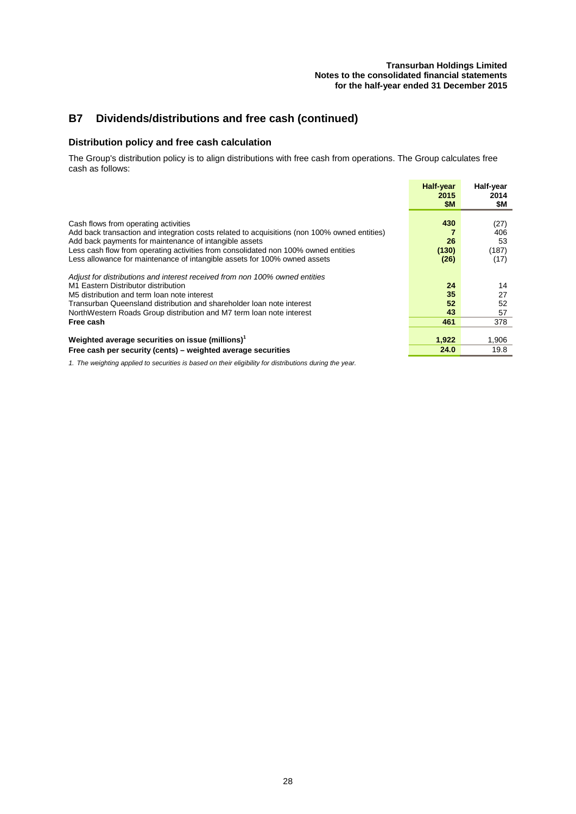# **B7 Dividends/distributions and free cash (continued)**

#### **Distribution policy and free cash calculation**

The Group's distribution policy is to align distributions with free cash from operations. The Group calculates free cash as follows:

|                                                                                                                                                                                                                                                                                                                                                                   | <b>Half-year</b><br>2015<br>\$M | Half-year<br>2014<br>\$M           |
|-------------------------------------------------------------------------------------------------------------------------------------------------------------------------------------------------------------------------------------------------------------------------------------------------------------------------------------------------------------------|---------------------------------|------------------------------------|
| Cash flows from operating activities<br>Add back transaction and integration costs related to acquisitions (non 100% owned entities)<br>Add back payments for maintenance of intangible assets<br>Less cash flow from operating activities from consolidated non 100% owned entities<br>Less allowance for maintenance of intangible assets for 100% owned assets | 430<br>26<br>(130)<br>(26)      | (27)<br>406<br>53<br>(187)<br>(17) |
| Adjust for distributions and interest received from non 100% owned entities<br>M1 Eastern Distributor distribution<br>M5 distribution and term loan note interest<br>Transurban Queensland distribution and shareholder loan note interest<br>NorthWestern Roads Group distribution and M7 term loan note interest<br>Free cash                                   | 24<br>35<br>52<br>43<br>461     | 14<br>27<br>52<br>57<br>378        |
| Weighted average securities on issue (millions) <sup>1</sup><br>Free cash per security (cents) – weighted average securities                                                                                                                                                                                                                                      | 1,922<br>24.0                   | 1,906<br>19.8                      |

*1. The weighting applied to securities is based on their eligibility for distributions during the year.*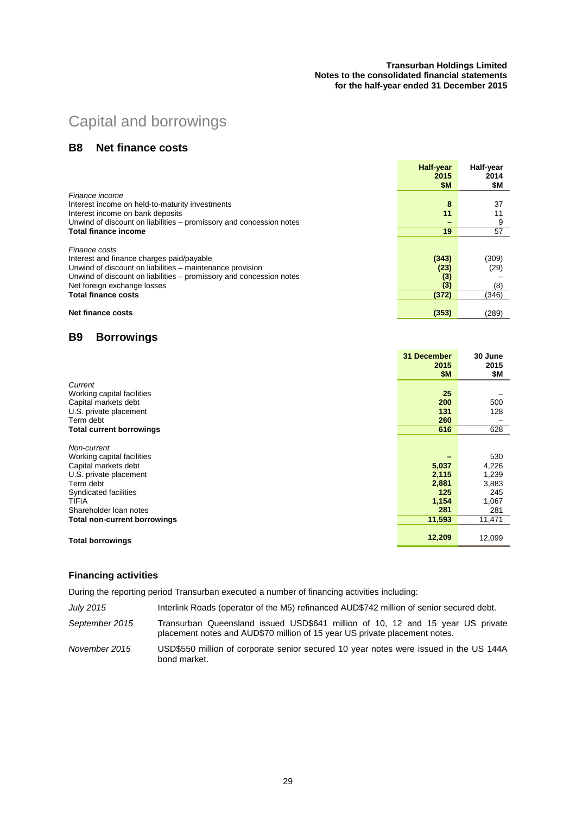#### **Transurban Holdings Limited Notes to the consolidated financial statements for the half-year ended 31 December 2015**

# Capital and borrowings

### **B8 Net finance costs**

|                                                                     | Half-year        | Half-year |
|---------------------------------------------------------------------|------------------|-----------|
|                                                                     | 2015             | 2014      |
|                                                                     | \$M              | \$M       |
| Finance income                                                      |                  |           |
| Interest income on held-to-maturity investments                     | 8                | 37        |
| Interest income on bank deposits                                    | 11               |           |
| Unwind of discount on liabilities – promissory and concession notes |                  | 9         |
| <b>Total finance income</b>                                         | 19               | 57        |
|                                                                     |                  |           |
| Finance costs                                                       |                  |           |
| Interest and finance charges paid/payable                           | (343)            | (309)     |
| Unwind of discount on liabilities - maintenance provision           | (23)             | (29)      |
| Unwind of discount on liabilities - promissory and concession notes | (3)              |           |
| Net foreign exchange losses                                         | $\left(3\right)$ | (8)       |
| <b>Total finance costs</b>                                          | (372)            | (346)     |
|                                                                     |                  |           |
| <b>Net finance costs</b>                                            | (353)            | (289)     |

### **B9 Borrowings**

|                                                                                                                                            | 31 December<br>2015<br><b>\$M</b>       | 30 June<br>2015<br>\$М                         |
|--------------------------------------------------------------------------------------------------------------------------------------------|-----------------------------------------|------------------------------------------------|
| Current                                                                                                                                    |                                         |                                                |
| Working capital facilities                                                                                                                 | 25                                      |                                                |
| Capital markets debt                                                                                                                       | 200                                     | 500                                            |
| U.S. private placement                                                                                                                     | 131                                     | 128                                            |
| Term debt                                                                                                                                  | 260                                     |                                                |
| <b>Total current borrowings</b>                                                                                                            | 616                                     | 628                                            |
| Non-current<br>Working capital facilities<br>Capital markets debt<br>U.S. private placement<br>Term debt<br>Syndicated facilities<br>TIFIA | 5,037<br>2,115<br>2,881<br>125<br>1,154 | 530<br>4,226<br>1,239<br>3,883<br>245<br>1,067 |
| Shareholder loan notes                                                                                                                     | 281                                     | 281                                            |
| Total non-current borrowings                                                                                                               | 11,593                                  | 11,471                                         |
| <b>Total borrowings</b>                                                                                                                    | 12,209                                  | 12,099                                         |

#### **Financing activities**

During the reporting period Transurban executed a number of financing activities including:

*July 2015* Interlink Roads (operator of the M5) refinanced AUD\$742 million of senior secured debt.

*September 2015* Transurban Queensland issued USD\$641 million of 10, 12 and 15 year US private placement notes and AUD\$70 million of 15 year US private placement notes.

*November 2015* USD\$550 million of corporate senior secured 10 year notes were issued in the US 144A bond market.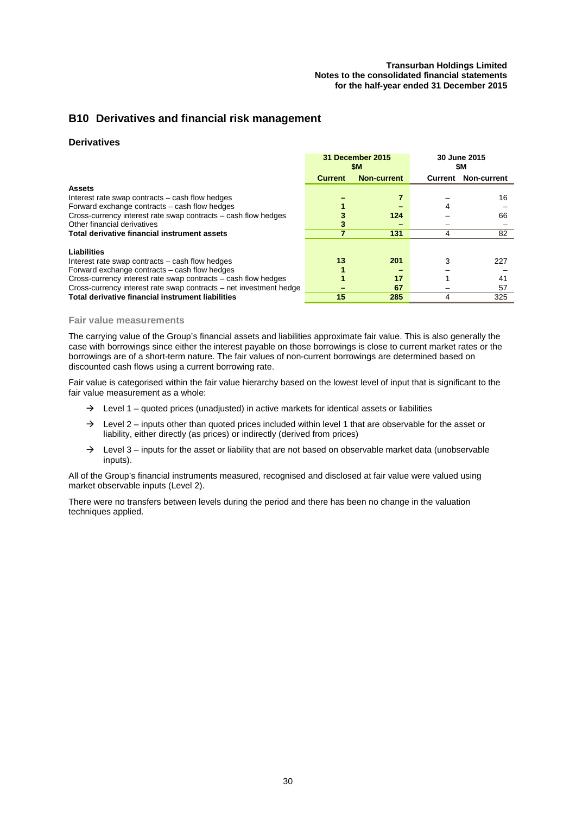### **B10 Derivatives and financial risk management**

#### **Derivatives**

|                                                                    | 31 December 2015<br>SM. |                    |         | 30 June 2015<br>SΜ. |
|--------------------------------------------------------------------|-------------------------|--------------------|---------|---------------------|
|                                                                    | <b>Current</b>          | <b>Non-current</b> | Current | Non-current         |
| <b>Assets</b>                                                      |                         |                    |         |                     |
| Interest rate swap contracts – cash flow hedges                    |                         |                    |         | 16                  |
| Forward exchange contracts – cash flow hedges                      |                         |                    |         |                     |
| Cross-currency interest rate swap contracts – cash flow hedges     |                         | 124                |         | 66                  |
| Other financial derivatives                                        |                         |                    |         |                     |
| Total derivative financial instrument assets                       |                         | 131                | 4       | 82                  |
| Liabilities                                                        |                         |                    |         |                     |
| Interest rate swap contracts – cash flow hedges                    | 13                      | 201                | 3       | 227                 |
| Forward exchange contracts – cash flow hedges                      |                         |                    |         |                     |
| Cross-currency interest rate swap contracts – cash flow hedges     |                         | 17                 |         | 41                  |
| Cross-currency interest rate swap contracts – net investment hedge |                         | 67                 |         | 57                  |
| Total derivative financial instrument liabilities                  | 15                      | 285                | 4       | 325                 |

#### **Fair value measurements**

The carrying value of the Group's financial assets and liabilities approximate fair value. This is also generally the case with borrowings since either the interest payable on those borrowings is close to current market rates or the borrowings are of a short-term nature. The fair values of non-current borrowings are determined based on discounted cash flows using a current borrowing rate.

Fair value is categorised within the fair value hierarchy based on the lowest level of input that is significant to the fair value measurement as a whole:

- $\rightarrow$  Level 1 quoted prices (unadjusted) in active markets for identical assets or liabilities
- $\rightarrow$  Level 2 inputs other than quoted prices included within level 1 that are observable for the asset or liability, either directly (as prices) or indirectly (derived from prices)
- $\rightarrow$  Level 3 inputs for the asset or liability that are not based on observable market data (unobservable inputs).

All of the Group's financial instruments measured, recognised and disclosed at fair value were valued using market observable inputs (Level 2).

There were no transfers between levels during the period and there has been no change in the valuation techniques applied.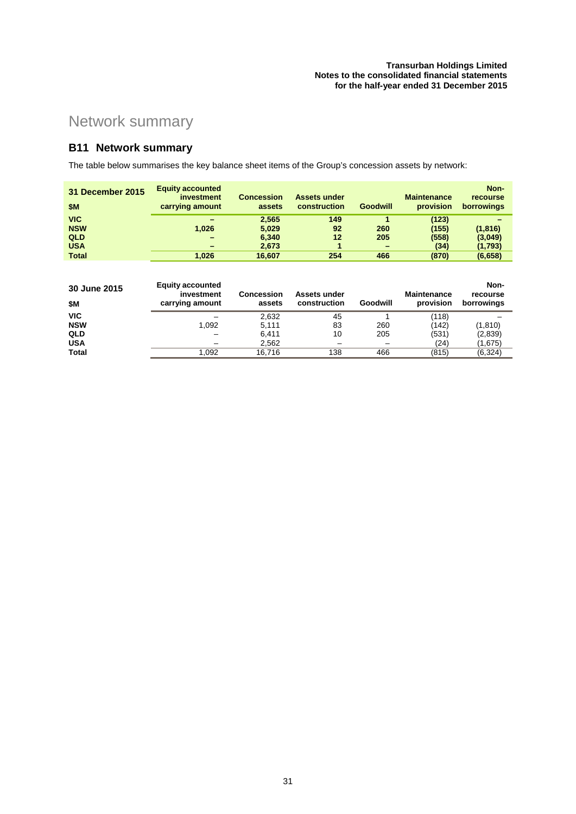# Network summary

# **B11 Network summary**

The table below summarises the key balance sheet items of the Group's concession assets by network:

| 31 December 2015<br><b>\$M</b> | <b>Equity accounted</b><br>investment<br>carrying amount | <b>Concession</b><br>assets | <b>Assets under</b><br>construction | Goodwill | <b>Maintenance</b><br>provision | Non-<br>recourse<br>borrowings |
|--------------------------------|----------------------------------------------------------|-----------------------------|-------------------------------------|----------|---------------------------------|--------------------------------|
| <b>VIC</b>                     | -                                                        | 2.565                       | 149                                 |          | (123)                           |                                |
| <b>NSW</b>                     | 1.026                                                    | 5,029                       | 92                                  | 260      | (155)                           | (1, 816)                       |
| <b>QLD</b>                     | $\overline{\phantom{0}}$                                 | 6,340                       | 12                                  | 205      | (558)                           | (3,049)                        |
| <b>USA</b>                     | -                                                        | 2,673                       |                                     |          | (34)                            | (1,793)                        |
| <b>Total</b>                   | 1.026                                                    | 16.607                      | 254                                 | 466      | (870)                           | (6,658)                        |

| 30 June 2015<br>\$Μ | <b>Equity accounted</b><br>investment<br>carrying amount | Concession<br>assets | Assets under<br>construction | Goodwill | <b>Maintenance</b><br>provision | Non-<br>recourse<br>borrowings |
|---------------------|----------------------------------------------------------|----------------------|------------------------------|----------|---------------------------------|--------------------------------|
| <b>VIC</b>          |                                                          | 2.632                | 45                           |          | (118)                           |                                |
| <b>NSW</b>          | 1.092                                                    | 5.111                | 83                           | 260      | (142)                           | (1, 810)                       |
| QLD                 |                                                          | 6.411                | 10                           | 205      | (531)                           | (2,839)                        |
| <b>USA</b>          |                                                          | 2,562                |                              |          | (24)                            | (1,675)                        |
| <b>Total</b>        | .092                                                     | 16.716               | 138                          | 466      | (815)                           | (6, 324)                       |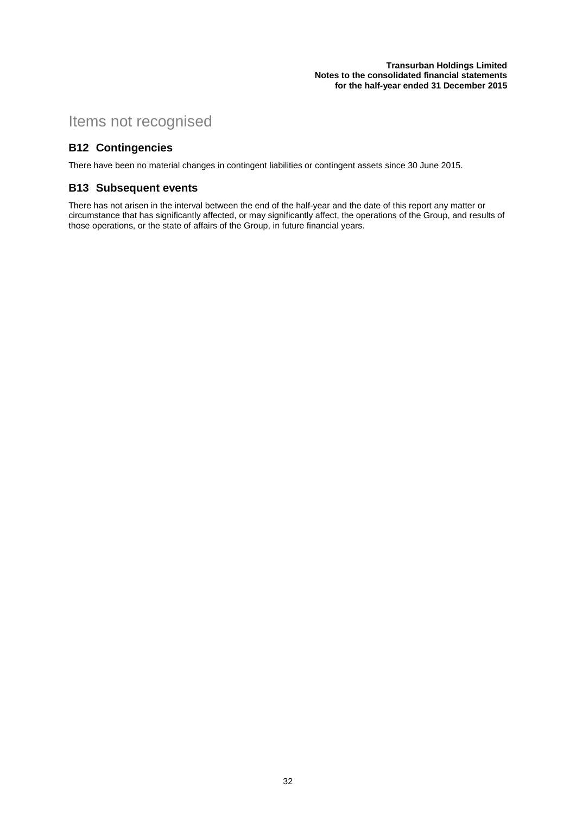# Items not recognised

### **B12 Contingencies**

There have been no material changes in contingent liabilities or contingent assets since 30 June 2015.

### **B13 Subsequent events**

There has not arisen in the interval between the end of the half-year and the date of this report any matter or circumstance that has significantly affected, or may significantly affect, the operations of the Group, and results of those operations, or the state of affairs of the Group, in future financial years.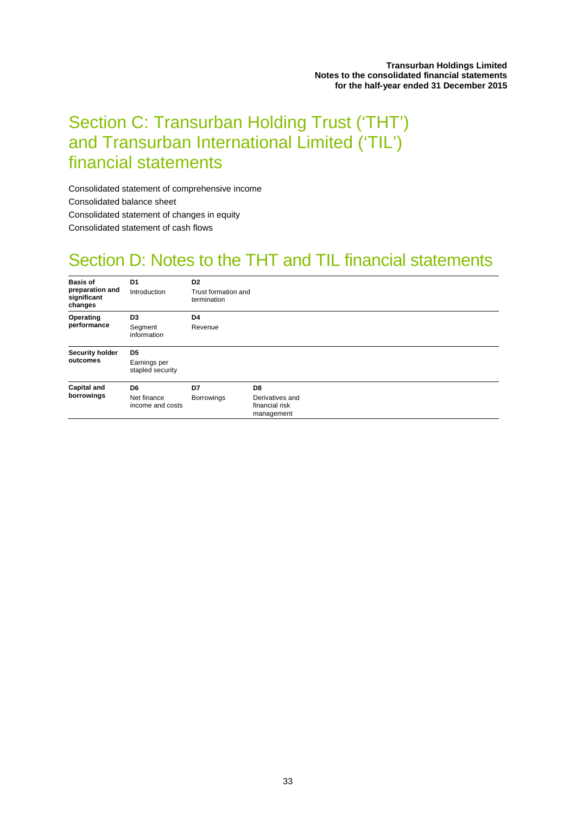# Section C: Transurban Holding Trust ('THT') and Transurban International Limited ('TIL') financial statements

Consolidated statement of comprehensive income Consolidated balance sheet Consolidated statement of changes in equity Consolidated statement of cash flows

# Section D: Notes to the THT and TIL financial statements

| <b>Basis of</b><br>preparation and<br>significant<br>changes | D <sub>1</sub><br>Introduction   | D <sub>2</sub><br>Trust formation and<br>termination |                                                 |
|--------------------------------------------------------------|----------------------------------|------------------------------------------------------|-------------------------------------------------|
| Operating                                                    | D <sub>3</sub>                   | D <sub>4</sub>                                       |                                                 |
| performance                                                  | Segment<br>information           | Revenue                                              |                                                 |
| <b>Security holder</b>                                       | D <sub>5</sub>                   |                                                      |                                                 |
| outcomes                                                     | Earnings per<br>stapled security |                                                      |                                                 |
| <b>Capital and</b>                                           | D <sub>6</sub>                   | D7                                                   | D <sub>8</sub>                                  |
| borrowings                                                   | Net finance<br>income and costs  | <b>Borrowings</b>                                    | Derivatives and<br>financial risk<br>management |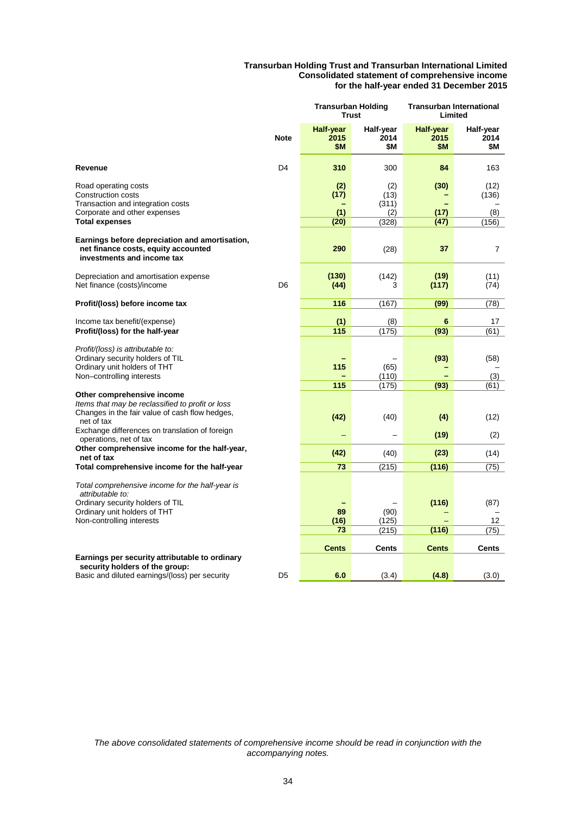#### **Transurban Holding Trust and Transurban International Limited Consolidated statement of comprehensive income for the half-year ended 31 December 2015**

|                                                                                                                                                                      |                | <b>Transurban Holding</b><br><b>Trust</b> |                                      | <b>Transurban International</b><br>Limited |                               |
|----------------------------------------------------------------------------------------------------------------------------------------------------------------------|----------------|-------------------------------------------|--------------------------------------|--------------------------------------------|-------------------------------|
|                                                                                                                                                                      | <b>Note</b>    | <b>Half-year</b><br>2015<br>\$M           | Half-year<br>2014<br>\$Μ             | <b>Half-year</b><br>2015<br>\$M            | Half-year<br>2014<br>\$Μ      |
| Revenue                                                                                                                                                              | D <sub>4</sub> | 310                                       | 300                                  | 84                                         | 163                           |
| Road operating costs<br>Construction costs<br>Transaction and integration costs<br>Corporate and other expenses<br><b>Total expenses</b>                             |                | (2)<br>(17)<br>(1)<br>(20)                | (2)<br>(13)<br>(311)<br>(2)<br>(328) | (30)<br>(17)<br>(47)                       | (12)<br>(136)<br>(8)<br>(156) |
| Earnings before depreciation and amortisation,<br>net finance costs, equity accounted<br>investments and income tax                                                  |                | 290                                       | (28)                                 | 37                                         | 7                             |
| Depreciation and amortisation expense<br>Net finance (costs)/income                                                                                                  | D <sub>6</sub> | (130)<br>(44)                             | (142)<br>3                           | (19)<br>(117)                              | (11)<br>(74)                  |
| Profit/(loss) before income tax                                                                                                                                      |                | 116                                       | (167)                                | (99)                                       | (78)                          |
| Income tax benefit/(expense)<br>Profit/(loss) for the half-year                                                                                                      |                | (1)<br>115                                | (8)<br>(175)                         | 6<br>(93)                                  | 17<br>(61)                    |
| Profit/(loss) is attributable to:<br>Ordinary security holders of TIL<br>Ordinary unit holders of THT<br>Non-controlling interests                                   |                | 115                                       | (65)<br>(110)                        | (93)                                       | (58)<br>(3)                   |
| Other comprehensive income<br>Items that may be reclassified to profit or loss<br>Changes in the fair value of cash flow hedges,<br>net of tax                       |                | 115<br>(42)                               | (175)<br>(40)                        | (93)<br>(4)                                | (61)<br>(12)                  |
| Exchange differences on translation of foreign<br>operations, net of tax                                                                                             |                |                                           |                                      | (19)                                       | (2)                           |
| Other comprehensive income for the half-year,<br>net of tax                                                                                                          |                | (42)                                      | (40)                                 | (23)                                       | (14)                          |
| Total comprehensive income for the half-year                                                                                                                         |                | 73                                        | (215)                                | (116)                                      | (75)                          |
| Total comprehensive income for the half-year is<br>attributable to:<br>Ordinary security holders of TIL<br>Ordinary unit holders of THT<br>Non-controlling interests |                | 89<br>(16)<br>73                          | (90)<br>(125)<br>(215)               | (116)<br>(116)                             | (87)<br>12<br>(75)            |
| Earnings per security attributable to ordinary                                                                                                                       |                | <b>Cents</b>                              | <b>Cents</b>                         | <b>Cents</b>                               | <b>Cents</b>                  |
| security holders of the group:<br>Basic and diluted earnings/(loss) per security                                                                                     | D <sub>5</sub> | 6.0                                       | (3.4)                                | (4.8)                                      | (3.0)                         |

*The above consolidated statements of comprehensive income should be read in conjunction with the accompanying notes.*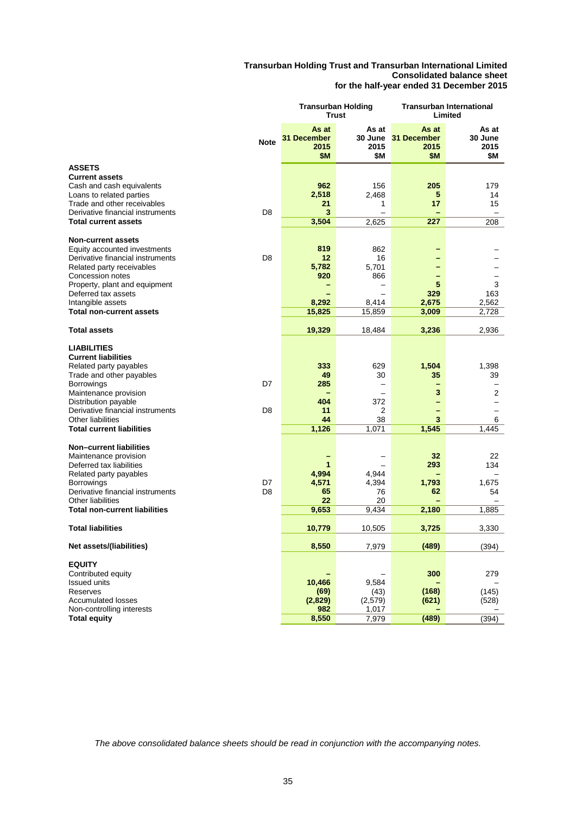#### **Transurban Holding Trust and Transurban International Limited Consolidated balance sheet for the half-year ended 31 December 2015**

|                      |                                              |                                              |                                                                           | Transurban International<br>Limited                                    |  |
|----------------------|----------------------------------------------|----------------------------------------------|---------------------------------------------------------------------------|------------------------------------------------------------------------|--|
| <b>Note</b>          | As at<br>31 December<br>2015<br>\$M          | As at<br>2015<br>\$Μ                         | As at<br>2015<br>\$Μ                                                      | As at<br>30 June<br>2015<br>\$Μ                                        |  |
|                      |                                              |                                              |                                                                           |                                                                        |  |
| D <sub>8</sub>       | 962<br>2,518<br>21<br>3                      | 156<br>2,468<br>1                            | 205<br>5<br>17                                                            | 179<br>14<br>15<br>$\equiv$                                            |  |
|                      |                                              |                                              |                                                                           | 208                                                                    |  |
| D <sub>8</sub>       | 819<br>12<br>5,782<br>920<br>8,292<br>15,825 | 862<br>16<br>5,701<br>866<br>8,414<br>15,859 | 5<br>329<br>2,675<br>3,009                                                | 3<br>163<br>2,562<br>2,728                                             |  |
|                      |                                              |                                              |                                                                           | 2,936                                                                  |  |
| D7<br>D <sub>8</sub> | 333<br>49<br>285<br>404<br>11<br>44<br>1,126 | 629<br>30<br>372<br>2<br>38<br>1,071         | 1,504<br>35<br>$\overline{\phantom{0}}$<br>3<br>—<br>—<br>-<br>3<br>1,545 | 1,398<br>39<br>$\overline{\phantom{0}}$<br>2<br>$\equiv$<br>6<br>1,445 |  |
| D7<br>D <sub>8</sub> | 1<br>4,994<br>4,571<br>65<br>22<br>9,653     | 4,944<br>4,394<br>76<br>20<br>9,434          | 32<br>293<br>1,793<br>62<br>2,180                                         | 22<br>134<br>1,675<br>54<br>1,885                                      |  |
|                      | 10,779                                       | 10,505                                       | 3,725                                                                     | 3,330                                                                  |  |
|                      | 8,550                                        | 7,979                                        | (489)                                                                     | (394)                                                                  |  |
|                      | 10,466<br>(69)<br>(2,829)<br>982             | 9,584<br>(43)<br>(2,579)<br>1,017            | 300<br>(168)<br>(621)                                                     | 279<br>(145)<br>(528)<br>(394)                                         |  |
|                      |                                              | 3,504<br>19,329<br>8,550                     | Transurban Holding<br>Trust<br>2,625<br>18,484<br>7,979                   | 30 June 31 December<br>227<br>3,236<br>(489)                           |  |

*The above consolidated balance sheets should be read in conjunction with the accompanying notes.*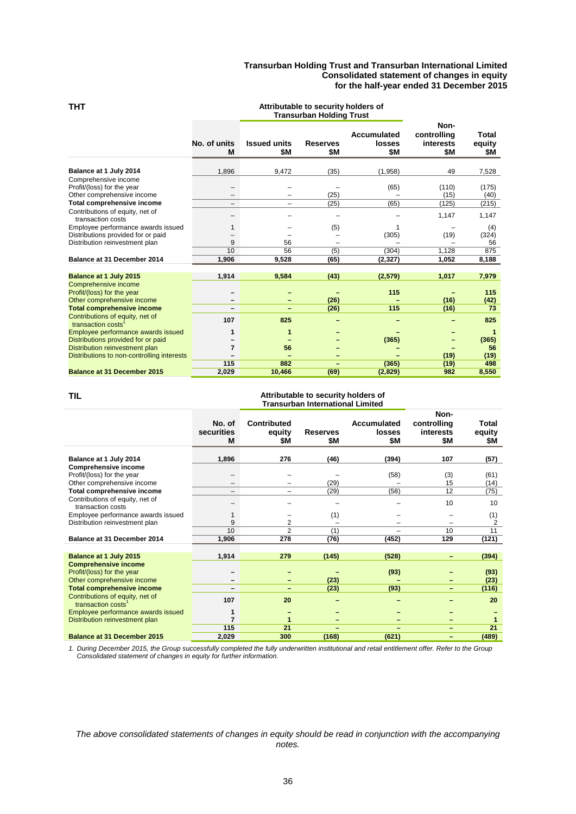#### **Transurban Holding Trust and Transurban International Limited Consolidated statement of changes in equity for the half-year ended 31 December 2015**

|                                                      |                          |                            | <b>Transurban Holding Trust</b> |                                     |                                         |                               |
|------------------------------------------------------|--------------------------|----------------------------|---------------------------------|-------------------------------------|-----------------------------------------|-------------------------------|
|                                                      | No. of units<br>M        | <b>Issued units</b><br>\$Μ | <b>Reserves</b><br>\$Μ          | <b>Accumulated</b><br>losses<br>\$Μ | Non-<br>controlling<br>interests<br>\$Μ | <b>Total</b><br>equity<br>\$Μ |
| Balance at 1 July 2014                               | 1,896                    | 9,472                      | (35)                            | (1,958)                             | 49                                      | 7,528                         |
| Comprehensive income                                 |                          |                            |                                 |                                     |                                         |                               |
| Profit/(loss) for the year                           |                          |                            |                                 | (65)                                | (110)                                   | (175)                         |
| Other comprehensive income                           | $\overline{\phantom{0}}$ |                            | (25)                            |                                     | (15)                                    | (40)                          |
| Total comprehensive income                           | -                        | -                          | (25)                            | (65)                                | (125)                                   | (215)                         |
| Contributions of equity, net of<br>transaction costs |                          |                            |                                 |                                     | 1,147                                   | 1,147                         |
| Employee performance awards issued                   | 1                        |                            | (5)                             |                                     |                                         | (4)                           |
| Distributions provided for or paid                   |                          |                            |                                 | (305)                               | (19)                                    | (324)                         |
| Distribution reinvestment plan                       | 9                        | 56                         |                                 |                                     |                                         | 56                            |
|                                                      | 10                       | 56                         | (5)                             | (304)                               | 1,128                                   | 875                           |
| Balance at 31 December 2014                          | 1,906                    | 9,528                      | (65)                            | (2, 327)                            | 1,052                                   | 8,188                         |
|                                                      |                          |                            |                                 |                                     |                                         |                               |
| Balance at 1 July 2015                               | 1,914                    | 9,584                      | (43)                            | (2,579)                             | 1,017                                   | 7,979                         |
| <b>Comprehensive income</b>                          |                          |                            |                                 |                                     |                                         |                               |
| Profit/(loss) for the year                           |                          |                            |                                 | 115                                 |                                         | 115                           |
| Other comprehensive income                           |                          | -                          | (26)                            |                                     | (16)                                    | (42)                          |
| <b>Total comprehensive income</b>                    |                          | ÷,                         | (26)                            | 115                                 | (16)                                    | 73                            |
| Contributions of equity, net of<br>transaction costs | 107                      | 825                        |                                 |                                     |                                         | 825                           |
| Employee performance awards issued                   | 1                        | 1                          |                                 |                                     |                                         | 1                             |
| Distributions provided for or paid                   |                          |                            |                                 | (365)                               |                                         | (365)                         |
| Distribution reinvestment plan                       | 7                        | 56                         |                                 |                                     |                                         | 56                            |
| Distributions to non-controlling interests           |                          |                            |                                 |                                     | (19)                                    | (19)                          |
|                                                      | 115                      | 882                        | -                               | (365)                               | (19)                                    | 498                           |
| <b>Balance at 31 December 2015</b>                   | 2,029                    | 10.466                     | (69)                            | (2,829)                             | 982                                     | 8,550                         |

#### **THT Attributable to security holders of**

#### **TIL Attributable to security holders of Transurban International Limited**

|                                                                   | No. of<br>securities<br>M | <b>Contributed</b><br>equity<br>\$M | <b>Reserves</b><br>\$Μ | Accumulated<br>losses<br>\$Μ | Non-<br>controlling<br><b>interests</b><br>\$Μ | Total<br>equity<br>\$Μ |
|-------------------------------------------------------------------|---------------------------|-------------------------------------|------------------------|------------------------------|------------------------------------------------|------------------------|
| Balance at 1 July 2014                                            | 1,896                     | 276                                 | (46)                   | (394)                        | 107                                            | (57)                   |
| <b>Comprehensive income</b>                                       |                           |                                     |                        |                              |                                                |                        |
| Profit/(loss) for the year                                        |                           |                                     |                        | (58)                         | (3)                                            | (61)                   |
| Other comprehensive income                                        |                           |                                     | (29)                   |                              | 15                                             | (14)                   |
| Total comprehensive income                                        | $\overline{\phantom{0}}$  | $\qquad \qquad$                     | (29)                   | (58)                         | 12                                             | (75)                   |
| Contributions of equity, net of<br>transaction costs              |                           |                                     |                        |                              | 10                                             | 10                     |
| Employee performance awards issued                                |                           |                                     | (1)                    |                              |                                                | (1)                    |
| Distribution reinvestment plan                                    | 9                         | 2                                   |                        |                              |                                                | 2                      |
|                                                                   | 10                        | $\overline{2}$                      | (1)                    |                              | 10                                             | 11                     |
| Balance at 31 December 2014                                       | 1,906                     | 278                                 | (76)                   | (452)                        | 129                                            | (121)                  |
|                                                                   |                           |                                     |                        |                              |                                                |                        |
| Balance at 1 July 2015                                            | 1,914                     | 279                                 | (145)                  | (528)                        | -                                              | (394)                  |
| <b>Comprehensive income</b>                                       |                           |                                     |                        |                              |                                                |                        |
| Profit/(loss) for the year                                        |                           |                                     |                        | (93)                         |                                                | (93)                   |
| Other comprehensive income                                        |                           |                                     | (23)                   |                              |                                                | (23)                   |
| <b>Total comprehensive income</b>                                 |                           |                                     | (23)                   | (93)                         | -                                              | (116)                  |
| Contributions of equity, net of<br>transaction costs <sup>1</sup> | 107                       | 20                                  |                        |                              |                                                | 20                     |
| Employee performance awards issued                                | 1                         |                                     |                        |                              |                                                |                        |
| Distribution reinvestment plan                                    | 7                         | 1                                   |                        |                              |                                                |                        |
|                                                                   | 115                       | 21                                  |                        |                              |                                                | 21                     |
| <b>Balance at 31 December 2015</b>                                | 2,029                     | 300                                 | (168)                  | (621)                        | -                                              | (489)                  |

*1. During December 2015, the Group successfully completed the fully underwritten institutional and retail entitlement offer. Refer to the Group Consolidated statement of changes in equity for further information.* 

#### *The above consolidated statements of changes in equity should be read in conjunction with the accompanying notes.*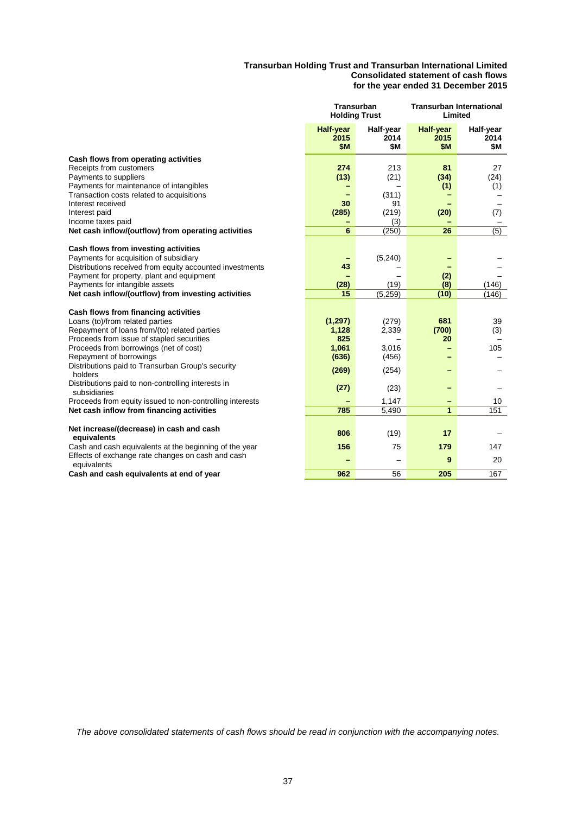#### **Transurban Holding Trust and Transurban International Limited Consolidated statement of cash flows for the year ended 31 December 2015**

|                                                                                                                                                                                                                                                                                  | <b>Transurban</b><br><b>Holding Trust</b> |                                            | <b>Transurban International</b><br>Limited |                          |
|----------------------------------------------------------------------------------------------------------------------------------------------------------------------------------------------------------------------------------------------------------------------------------|-------------------------------------------|--------------------------------------------|--------------------------------------------|--------------------------|
|                                                                                                                                                                                                                                                                                  | <b>Half-year</b><br>2015<br>\$M           | Half-year<br>2014<br>\$M                   | <b>Half-year</b><br>2015<br>\$M            | Half-year<br>2014<br>\$M |
| Cash flows from operating activities<br>Receipts from customers<br>Payments to suppliers<br>Payments for maintenance of intangibles<br>Transaction costs related to acquisitions<br>Interest received<br>Interest paid<br>Income taxes paid                                      | 274<br>(13)<br>30<br>(285)                | 213<br>(21)<br>(311)<br>91<br>(219)<br>(3) | 81<br>(34)<br>(1)<br>(20)                  | 27<br>(24)<br>(1)<br>(7) |
| Net cash inflow/(outflow) from operating activities                                                                                                                                                                                                                              | 6                                         | (250)                                      | 26                                         | $\overline{(5)}$         |
| Cash flows from investing activities<br>Payments for acquisition of subsidiary<br>Distributions received from equity accounted investments<br>Payment for property, plant and equipment<br>Payments for intangible assets<br>Net cash inflow/(outflow) from investing activities | 43<br>(28)<br>15                          | (5, 240)<br>(19)<br>(5,259)                | (2)<br>(8)<br>(10)                         | (146)<br>(146)           |
|                                                                                                                                                                                                                                                                                  |                                           |                                            |                                            |                          |
| Cash flows from financing activities<br>Loans (to)/from related parties<br>Repayment of loans from/(to) related parties<br>Proceeds from issue of stapled securities<br>Proceeds from borrowings (net of cost)                                                                   | (1, 297)<br>1,128<br>825<br>1,061         | (279)<br>2,339<br>3,016                    | 681<br>(700)<br>20                         | 39<br>(3)<br>105         |
| Repayment of borrowings<br>Distributions paid to Transurban Group's security<br>holders                                                                                                                                                                                          | (636)<br>(269)                            | (456)<br>(254)                             |                                            |                          |
| Distributions paid to non-controlling interests in<br>subsidiaries                                                                                                                                                                                                               | (27)                                      | (23)                                       |                                            |                          |
| Proceeds from equity issued to non-controlling interests                                                                                                                                                                                                                         |                                           | 1,147                                      |                                            | 10                       |
| Net cash inflow from financing activities                                                                                                                                                                                                                                        | 785                                       | 5,490                                      | 1                                          | 151                      |
| Net increase/(decrease) in cash and cash<br>equivalents                                                                                                                                                                                                                          | 806                                       | (19)                                       | 17                                         |                          |
| Cash and cash equivalents at the beginning of the year<br>Effects of exchange rate changes on cash and cash<br>equivalents                                                                                                                                                       | 156                                       | 75                                         | 179<br>9                                   | 147<br>20                |
| Cash and cash equivalents at end of year                                                                                                                                                                                                                                         | 962                                       | 56                                         | 205                                        | 167                      |

*The above consolidated statements of cash flows should be read in conjunction with the accompanying notes.*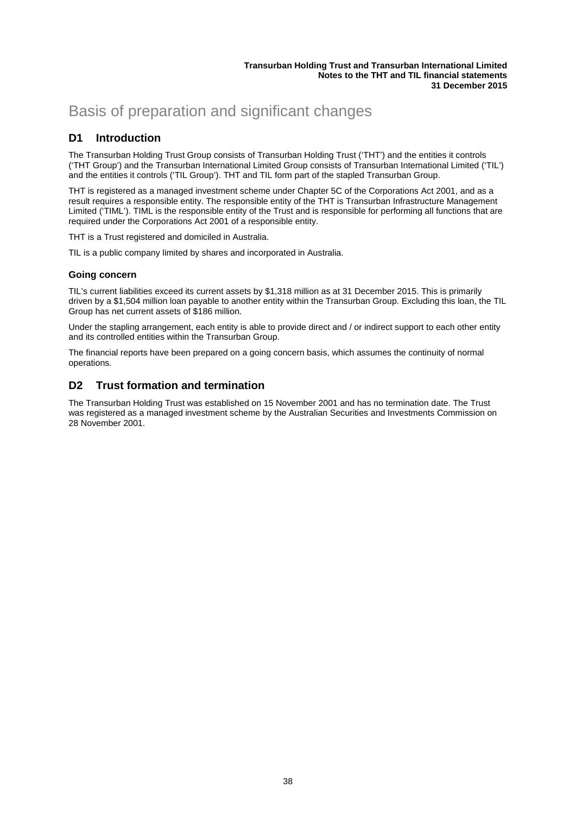# Basis of preparation and significant changes

### **D1 Introduction**

The Transurban Holding Trust Group consists of Transurban Holding Trust ('THT') and the entities it controls ('THT Group') and the Transurban International Limited Group consists of Transurban International Limited ('TIL') and the entities it controls ('TIL Group'). THT and TIL form part of the stapled Transurban Group.

THT is registered as a managed investment scheme under Chapter 5C of the Corporations Act 2001, and as a result requires a responsible entity. The responsible entity of the THT is Transurban Infrastructure Management Limited ('TIML'). TIML is the responsible entity of the Trust and is responsible for performing all functions that are required under the Corporations Act 2001 of a responsible entity.

THT is a Trust registered and domiciled in Australia.

TIL is a public company limited by shares and incorporated in Australia.

#### **Going concern**

TIL's current liabilities exceed its current assets by \$1,318 million as at 31 December 2015. This is primarily driven by a \$1,504 million loan payable to another entity within the Transurban Group. Excluding this loan, the TIL Group has net current assets of \$186 million.

Under the stapling arrangement, each entity is able to provide direct and / or indirect support to each other entity and its controlled entities within the Transurban Group.

The financial reports have been prepared on a going concern basis, which assumes the continuity of normal operations.

### **D2 Trust formation and termination**

The Transurban Holding Trust was established on 15 November 2001 and has no termination date. The Trust was registered as a managed investment scheme by the Australian Securities and Investments Commission on 28 November 2001.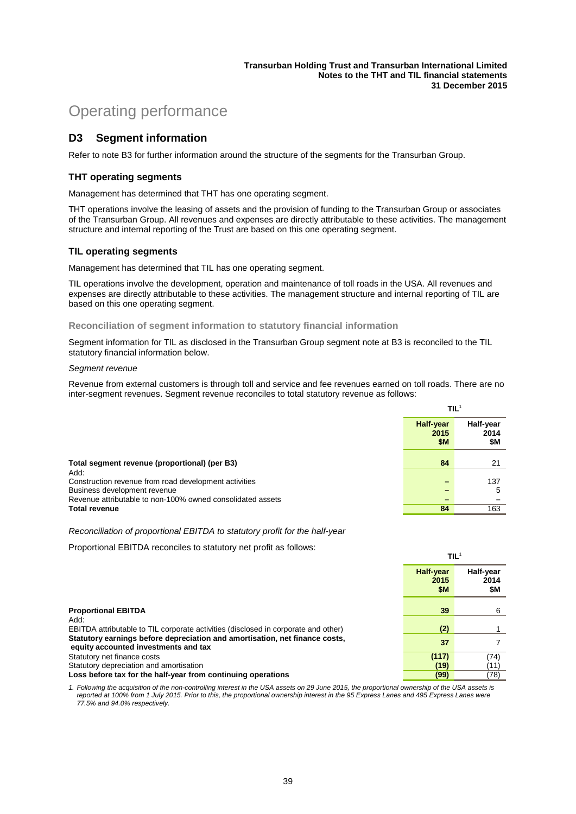**TIL**<sup>1</sup>

# Operating performance

### **D3 Segment information**

Refer to note B3 for further information around the structure of the segments for the Transurban Group.

#### **THT operating segments**

Management has determined that THT has one operating segment.

THT operations involve the leasing of assets and the provision of funding to the Transurban Group or associates of the Transurban Group. All revenues and expenses are directly attributable to these activities. The management structure and internal reporting of the Trust are based on this one operating segment.

#### **TIL operating segments**

Management has determined that TIL has one operating segment.

TIL operations involve the development, operation and maintenance of toll roads in the USA. All revenues and expenses are directly attributable to these activities. The management structure and internal reporting of TIL are based on this one operating segment.

#### **Reconciliation of segment information to statutory financial information**

Segment information for TIL as disclosed in the Transurban Group segment note at B3 is reconciled to the TIL statutory financial information below.

#### *Segment revenue*

Revenue from external customers is through toll and service and fee revenues earned on toll roads. There are no inter-segment revenues. Segment revenue reconciles to total statutory revenue as follows:

|                                                            | HL.                             |                          |
|------------------------------------------------------------|---------------------------------|--------------------------|
|                                                            | <b>Half-year</b><br>2015<br>\$M | Half-year<br>2014<br>\$M |
| Total segment revenue (proportional) (per B3)<br>Add:      | 84                              | 21                       |
| Construction revenue from road development activities      |                                 | 137                      |
| Business development revenue                               |                                 | 5                        |
| Revenue attributable to non-100% owned consolidated assets |                                 |                          |
| <b>Total revenue</b>                                       | 84                              | 163                      |

*Reconciliation of proportional EBITDA to statutory profit for the half-year* 

Proportional EBITDA reconciles to statutory net profit as follows:

|                                                                                                                     | TL <sup>1</sup>                 |                          |
|---------------------------------------------------------------------------------------------------------------------|---------------------------------|--------------------------|
|                                                                                                                     | <b>Half-year</b><br>2015<br>\$Μ | Half-year<br>2014<br>\$M |
| <b>Proportional EBITDA</b><br>Add:                                                                                  | 39                              | 6                        |
| EBITDA attributable to TIL corporate activities (disclosed in corporate and other)                                  | (2)                             |                          |
| Statutory earnings before depreciation and amortisation, net finance costs,<br>equity accounted investments and tax | 37                              |                          |
| Statutory net finance costs                                                                                         | (117)                           | (74)                     |
| Statutory depreciation and amortisation                                                                             | (19)                            | (11)                     |
| Loss before tax for the half-year from continuing operations                                                        | (99)                            | (78)                     |

*1. Following the acquisition of the non-controlling interest in the USA assets on 29 June 2015, the proportional ownership of the USA assets is reported at 100% from 1 July 2015. Prior to this, the proportional ownership interest in the 95 Express Lanes and 495 Express Lanes were 77.5% and 94.0% respectively.*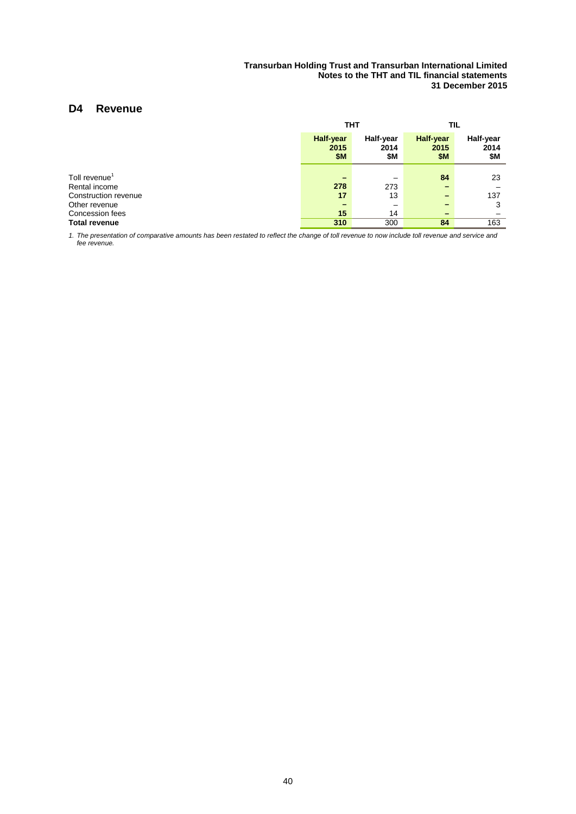### **D4 Revenue**

|                                       |                                        | тнт                      | TIL                                                  |                          |  |
|---------------------------------------|----------------------------------------|--------------------------|------------------------------------------------------|--------------------------|--|
|                                       | <b>Half-year</b><br>2015<br><b>\$M</b> | Half-year<br>2014<br>\$Μ | <b>Half-year</b><br>2015<br>\$M                      | Half-year<br>2014<br>\$Μ |  |
| Toll revenue <sup>1</sup>             |                                        |                          | 84                                                   | 23                       |  |
| Rental income<br>Construction revenue | 278<br>17                              | 273<br>13                | $\overline{\phantom{0}}$<br>$\overline{\phantom{0}}$ | 137                      |  |
| Other revenue<br>Concession fees      | 15                                     | -<br>14                  | $\overline{\phantom{0}}$<br>$\overline{\phantom{0}}$ | 3                        |  |
| Total revenue                         | 310                                    | 300                      | 84                                                   | 163                      |  |

*1. The presentation of comparative amounts has been restated to reflect the change of toll revenue to now include toll revenue and service and fee revenue.*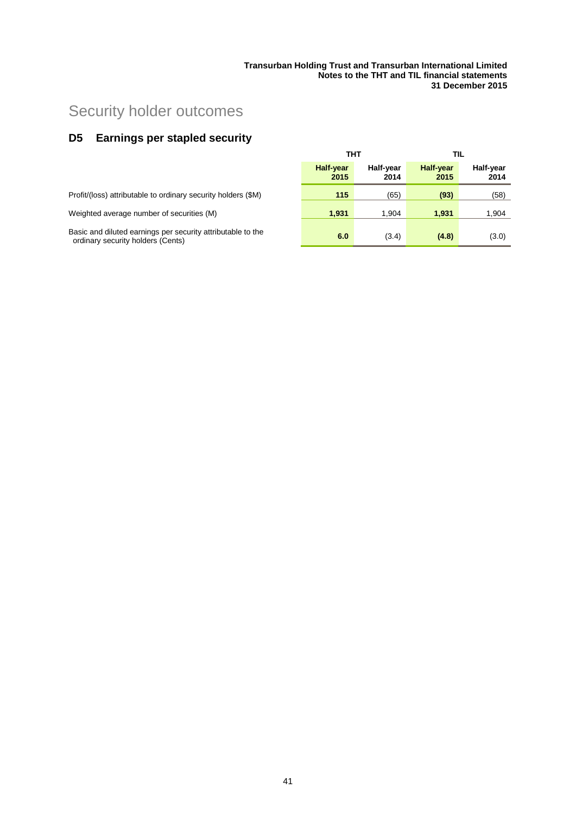# Security holder outcomes

# **D5 Earnings per stapled security**

|                                                                                                  | тнт                      |                   |                          | TIL               |  |
|--------------------------------------------------------------------------------------------------|--------------------------|-------------------|--------------------------|-------------------|--|
|                                                                                                  | <b>Half-year</b><br>2015 | Half-vear<br>2014 | <b>Half-year</b><br>2015 | Half-year<br>2014 |  |
| Profit/(loss) attributable to ordinary security holders (\$M)                                    | 115                      | (65)              | (93)                     | (58)              |  |
| Weighted average number of securities (M)                                                        | 1.931                    | 1.904             | 1.931                    | 1,904             |  |
| Basic and diluted earnings per security attributable to the<br>ordinary security holders (Cents) | 6.0                      | (3.4)             | (4.8)                    | (3.0)             |  |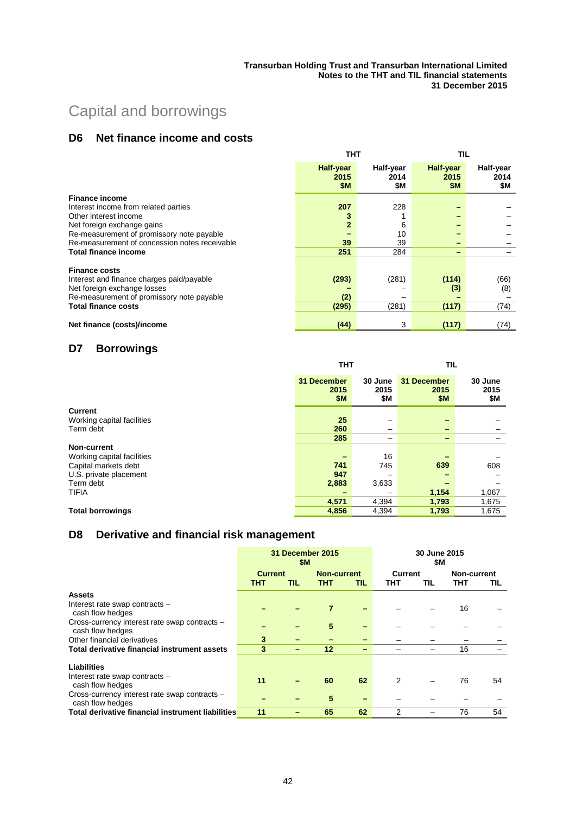# Capital and borrowings

### **D6 Net finance income and costs**

|                                               | тнт                                    |                          | TIL                             |                          |
|-----------------------------------------------|----------------------------------------|--------------------------|---------------------------------|--------------------------|
|                                               | <b>Half-year</b><br>2015<br><b>\$M</b> | Half-year<br>2014<br>\$Μ | Half-year<br>2015<br><b>\$M</b> | Half-year<br>2014<br>\$Μ |
| <b>Finance income</b>                         |                                        |                          |                                 |                          |
| Interest income from related parties          | 207                                    | 228                      |                                 |                          |
| Other interest income                         |                                        |                          |                                 |                          |
| Net foreign exchange gains                    | $\overline{2}$                         | 6                        |                                 |                          |
| Re-measurement of promissory note payable     |                                        | 10                       |                                 |                          |
| Re-measurement of concession notes receivable | 39                                     | 39                       |                                 |                          |
| <b>Total finance income</b>                   | 251                                    | 284                      |                                 |                          |
| <b>Finance costs</b>                          |                                        |                          |                                 |                          |
| Interest and finance charges paid/payable     | (293)                                  | (281)                    | (114)                           | (66)                     |
| Net foreign exchange losses                   |                                        |                          | (3)                             | (8)                      |
| Re-measurement of promissory note payable     | (2)                                    |                          |                                 |                          |
| <b>Total finance costs</b>                    | (295)                                  | (281)                    | (117)                           | (74)                     |
|                                               |                                        |                          |                                 |                          |
| Net finance (costs)/income                    | (44)                                   | 3                        | (117)                           | (74)                     |

## **D7 Borrowings**

|                            | тнт                               |                        | TIL                        |                        |  |
|----------------------------|-----------------------------------|------------------------|----------------------------|------------------------|--|
|                            | 31 December<br>2015<br><b>\$M</b> | 30 June<br>2015<br>\$Μ | 31 December<br>2015<br>\$M | 30 June<br>2015<br>\$Μ |  |
| <b>Current</b>             |                                   |                        |                            |                        |  |
| Working capital facilities | 25                                |                        | -                          |                        |  |
| Term debt                  | 260                               | -                      | $\overline{\phantom{0}}$   |                        |  |
|                            | 285                               | -                      | $\overline{\phantom{0}}$   |                        |  |
| <b>Non-current</b>         |                                   |                        |                            |                        |  |
| Working capital facilities |                                   | 16                     |                            |                        |  |
| Capital markets debt       | 741                               | 745                    | 639                        | 608                    |  |
| U.S. private placement     | 947                               |                        |                            |                        |  |
| Term debt                  | 2,883                             | 3,633                  |                            |                        |  |
| <b>TIFIA</b>               |                                   |                        | 1,154                      | 1,067                  |  |
|                            | 4,571                             | 4,394                  | 1,793                      | 1,675                  |  |
| <b>Total borrowings</b>    | 4,856                             | 4,394                  | 1,793                      | 1,675                  |  |

## **D8 Derivative and financial risk management**

|                                                                   | 31 December 2015<br>\$M |                          |                    |                          | 30 June 2015<br>\$M |     |             |     |
|-------------------------------------------------------------------|-------------------------|--------------------------|--------------------|--------------------------|---------------------|-----|-------------|-----|
|                                                                   | <b>Current</b>          |                          | <b>Non-current</b> |                          | Current             |     | Non-current |     |
|                                                                   | тнт                     | TIL                      | THT                | TIL                      | тнт                 | TIL | тнт         | TIL |
| <b>Assets</b>                                                     |                         |                          |                    |                          |                     |     |             |     |
| Interest rate swap contracts -<br>cash flow hedges                |                         |                          | 7                  | -                        |                     |     | 16          |     |
| Cross-currency interest rate swap contracts -<br>cash flow hedges |                         |                          | 5                  | -                        |                     |     |             |     |
| Other financial derivatives                                       | 3                       |                          |                    | -                        |                     |     |             |     |
| Total derivative financial instrument assets                      | 3                       | $\overline{\phantom{0}}$ | 12                 | -                        |                     |     | 16          |     |
| Liabilities                                                       |                         |                          |                    |                          |                     |     |             |     |
| Interest rate swap contracts -<br>cash flow hedges                | 11                      |                          | 60                 | 62                       | 2                   |     | 76          | 54  |
| Cross-currency interest rate swap contracts -<br>cash flow hedges |                         |                          | 5                  | $\overline{\phantom{0}}$ |                     |     |             |     |
| Total derivative financial instrument liabilities                 | 11                      |                          | 65                 | 62                       | 2                   |     | 76          | 54  |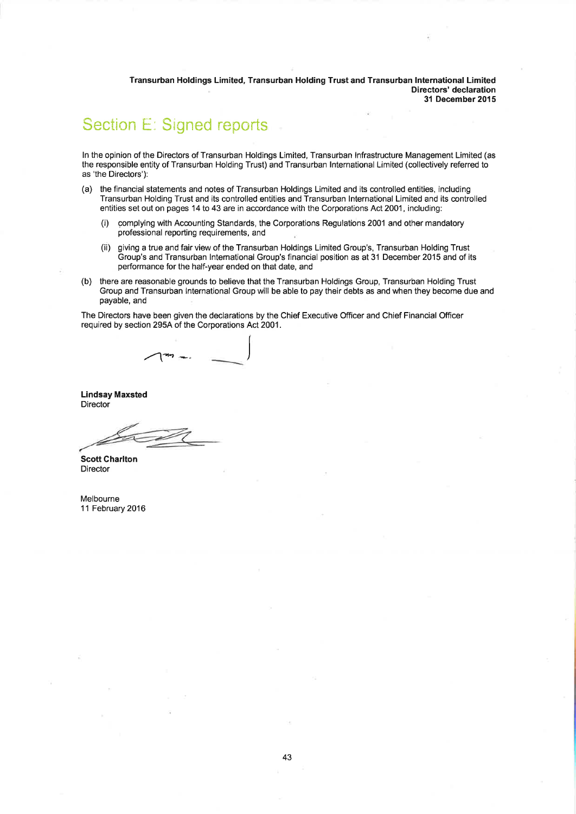Transurban Holdings Limited, Transurban Holding Trust and Transurban International Limited Directors' declaration 31 December 2015

# Section E: Signed reports

In the opinion of the Directors of Transurban Holdings Limited, Transurban Infrastructure Management Limited (as the responsible entity of Transurban Holding Trust) and Transurban International Limited (collectively referred to as 'the Directors'):

- (a) the financial statements and notes of Transurban Holdings Limited and its controlled entities, including Transurban Holding Trust and its controlled entities and Transurban International Limited and its controlled entities set out on pages 14 to 43 are in accordance with the Corporations Act 2001, including:
	- complying with Accounting Standards, the Corporations Regulations 2001 and other mandatory  $(i)$ professional reporting requirements, and
	- giving a true and fair view of the Transurban Holdings Limited Group's, Transurban Holding Trust  $(ii)$ Group's and Transurban International Group's financial position as at 31 December 2015 and of its performance for the half-year ended on that date, and
- $(b)$ there are reasonable grounds to believe that the Transurban Holdings Group, Transurban Holding Trust Group and Transurban International Group will be able to pay their debts as and when they become due and payable, and

The Directors have been given the declarations by the Chief Executive Officer and Chief Financial Officer required by section 295A of the Corporations Act 2001.

**Lindsay Maxsted Director** 

**Scott Charlton** Director

Melbourne 11 February 2016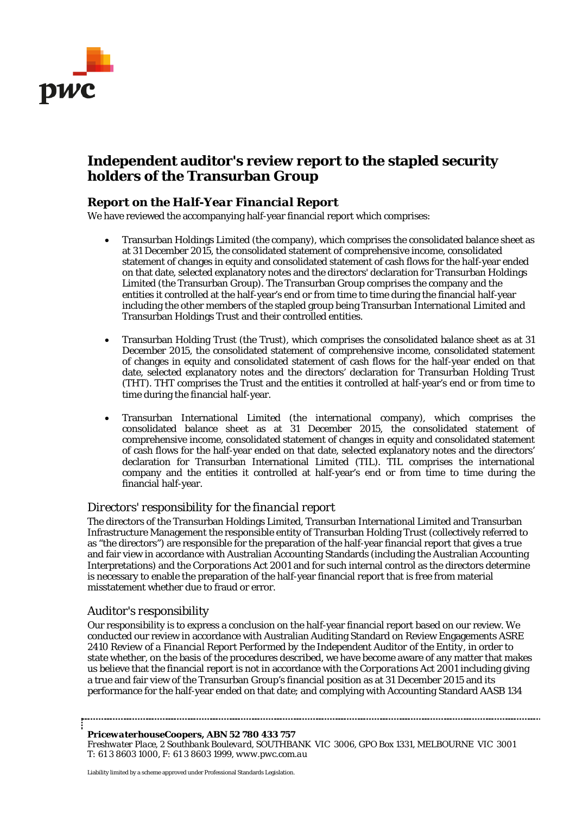

# **Independent auditor's review report to the stapled security holders of the Transurban Group**

### *Report on the Half-Year Financial Report*

We have reviewed the accompanying half-year financial report which comprises:

- Transurban Holdings Limited (the company), which comprises the consolidated balance sheet as at 31 December 2015, the consolidated statement of comprehensive income, consolidated statement of changes in equity and consolidated statement of cash flows for the half-year ended on that date, selected explanatory notes and the directors' declaration for Transurban Holdings Limited (the Transurban Group). The Transurban Group comprises the company and the entities it controlled at the half-year's end or from time to time during the financial half-year including the other members of the stapled group being Transurban International Limited and Transurban Holdings Trust and their controlled entities.
- Transurban Holding Trust (the Trust), which comprises the consolidated balance sheet as at 31 December 2015, the consolidated statement of comprehensive income, consolidated statement of changes in equity and consolidated statement of cash flows for the half-year ended on that date, selected explanatory notes and the directors' declaration for Transurban Holding Trust (THT). THT comprises the Trust and the entities it controlled at half-year's end or from time to time during the financial half-year.
- Transurban International Limited (the international company), which comprises the consolidated balance sheet as at 31 December 2015, the consolidated statement of comprehensive income, consolidated statement of changes in equity and consolidated statement of cash flows for the half-year ended on that date, selected explanatory notes and the directors' declaration for Transurban International Limited (TIL). TIL comprises the international company and the entities it controlled at half-year's end or from time to time during the financial half-year.

#### *Directors' responsibility for the financial report*

The directors of the Transurban Holdings Limited, Transurban International Limited and Transurban Infrastructure Management the responsible entity of Transurban Holding Trust (collectively referred to as "the directors") are responsible for the preparation of the half-year financial report that gives a true and fair view in accordance with Australian Accounting Standards (including the Australian Accounting Interpretations) and the *Corporations Act 2001* and for such internal control as the directors determine is necessary to enable the preparation of the half-year financial report that is free from material misstatement whether due to fraud or error.

### *Auditor's responsibility*

Our responsibility is to express a conclusion on the half-year financial report based on our review. We conducted our review in accordance with Australian Auditing Standard on Review Engagements ASRE 2410 *Review of a Financial Report Performed by the Independent Auditor of the Entity*, in order to state whether, on the basis of the procedures described, we have become aware of any matter that makes us believe that the financial report is not in accordance with the *Corporations Act 2001* including giving a true and fair view of the Transurban Group's financial position as at 31 December 2015 and its performance for the half-year ended on that date; and complying with Accounting Standard AASB 134

#### *PricewaterhouseCoopers, ABN 52 780 433 757*

*Freshwater Place, 2 Southbank Boulevard, SOUTHBANK VIC 3006, GPO Box 1331, MELBOURNE VIC 3001 T: 61 3 8603 1000, F: 61 3 8603 1999, www.pwc.com.au*